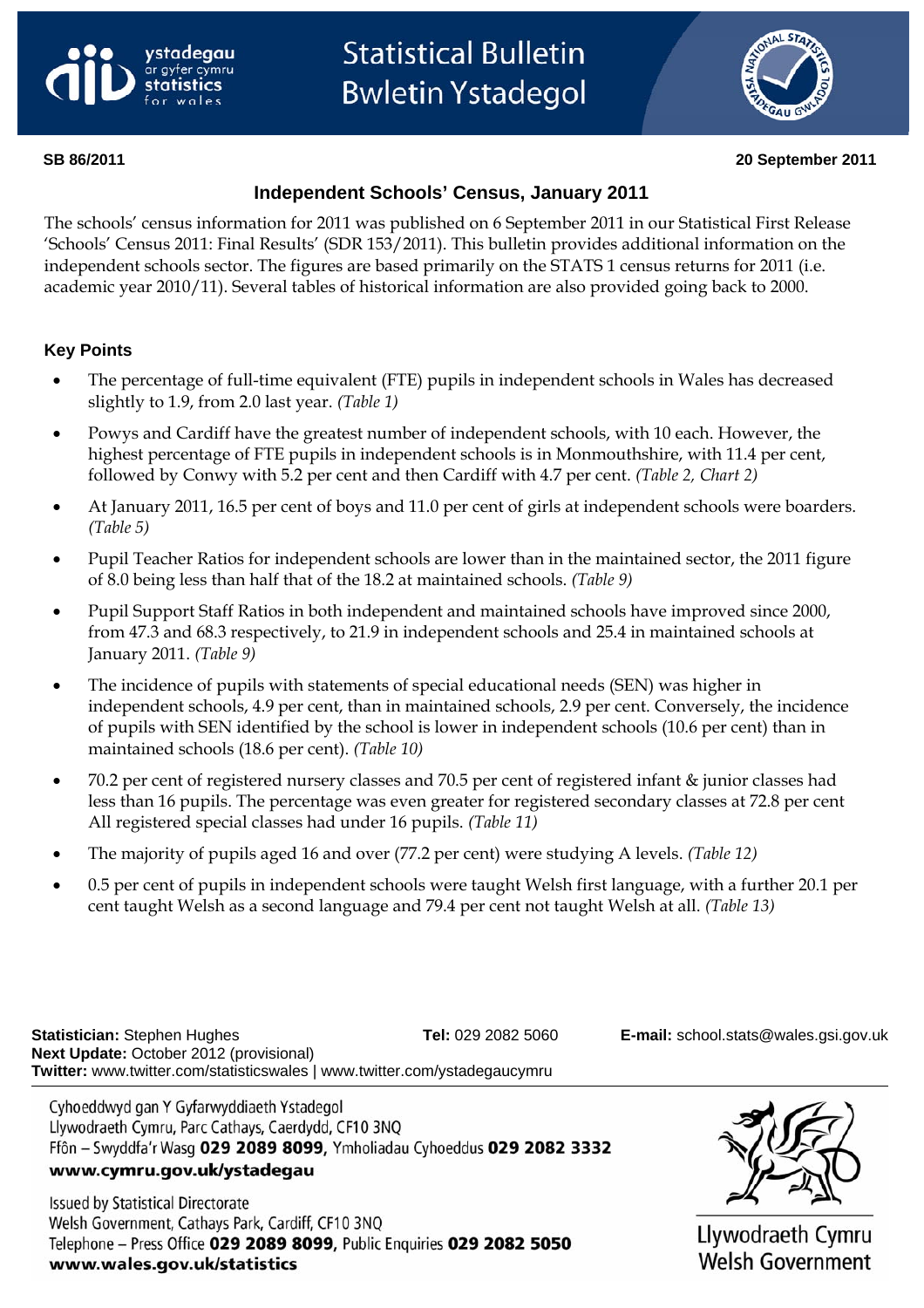<span id="page-0-0"></span>



#### **SB 86/2011 20 September 2011**

## **Independent Schools' Census, January 2011**

The schools' census information for 2011 was published on 6 September 2011 in our Statistical First Release 'Schools' Census 2011: Final Results' (SDR 153/2011). This bulletin provides additional information on the independent schools sector. The figures are based primarily on the STATS 1 census returns for 2011 (i.e. academic year 2010/11). Several tables of historical information are also provided going back to 2000.

### **Key Points**

- The percentage of full-time equivalent (FTE) pupils in independent schools in Wales has decreased slightly to 1.9, from 2.0 last year. *(Table 1)*
- Powys and Cardiff have the greatest number of independent schools, with 10 each. However, the highest percentage of FTE pupils in independent schools is in Monmouthshire, with 11.4 per cent, followed by Conwy with 5.2 per cent and then Cardiff with 4.7 per cent. *(Table 2, Chart 2)*
- At January 2011, 16.5 per cent of boys and 11.0 per cent of girls at independent schools were boarders. *(Table 5)*
- Pupil Teacher Ratios for independent schools are lower than in the maintained sector, the 2011 figure of 8.0 being less than half that of the 18.2 at maintained schools. *(Table 9)*
- Pupil Support Staff Ratios in both independent and maintained schools have improved since 2000, from 47.3 and 68.3 respectively, to 21.9 in independent schools and 25.4 in maintained schools at January 2011. *(Table 9)*
- The incidence of pupils with statements of special educational needs (SEN) was higher in independent schools, 4.9 per cent, than in maintained schools, 2.9 per cent. Conversely, the incidence of pupils with SEN identified by the school is lower in independent schools (10.6 per cent) than in maintained schools (18.6 per cent). *(Table 10)*
- 70.2 per cent of registered nursery classes and 70.5 per cent of registered infant & junior classes had less than 16 pupils. The percentage was even greater for registered secondary classes at 72.8 per cent All registered special classes had under 16 pupils. *(Table 11)*
- The majority of pupils aged 16 and over (77.2 per cent) were studying A levels. *(Table 12)*
- 0.5 per cent of pupils in independent schools were taught Welsh first language, with a further 20.1 per cent taught Welsh as a second language and 79.4 per cent not taught Welsh at all. *(Table 13)*

**Statistician:** Stephen Hughes **Tel:** 029 2082 5060 **E-mail:** [school.stats@wales.gsi.gov.uk](mailto:school.stats@wales.gsi.gov.uk)  **Next Update:** October 2012 (provisional) **Twitter:** www.twitter.com/statisticswales | www.twitter.com/ystadegaucymru

Cyhoeddwyd gan Y Gyfarwyddiaeth Ystadegol Llywodraeth Cymru, Parc Cathays, Caerdydd, CF10 3NQ Ffôn - Swyddfa'r Wasg 029 2089 8099, Ymholiadau Cyhoeddus 029 2082 3332 www.cymru.gov.uk/ystadegau

**Issued by Statistical Directorate** Welsh Government, Cathays Park, Cardiff, CF10 3NQ Telephone - Press Office 029 2089 8099, Public Enquiries 029 2082 5050 www.wales.gov.uk/statistics



Llywodraeth Cymru **Welsh Government**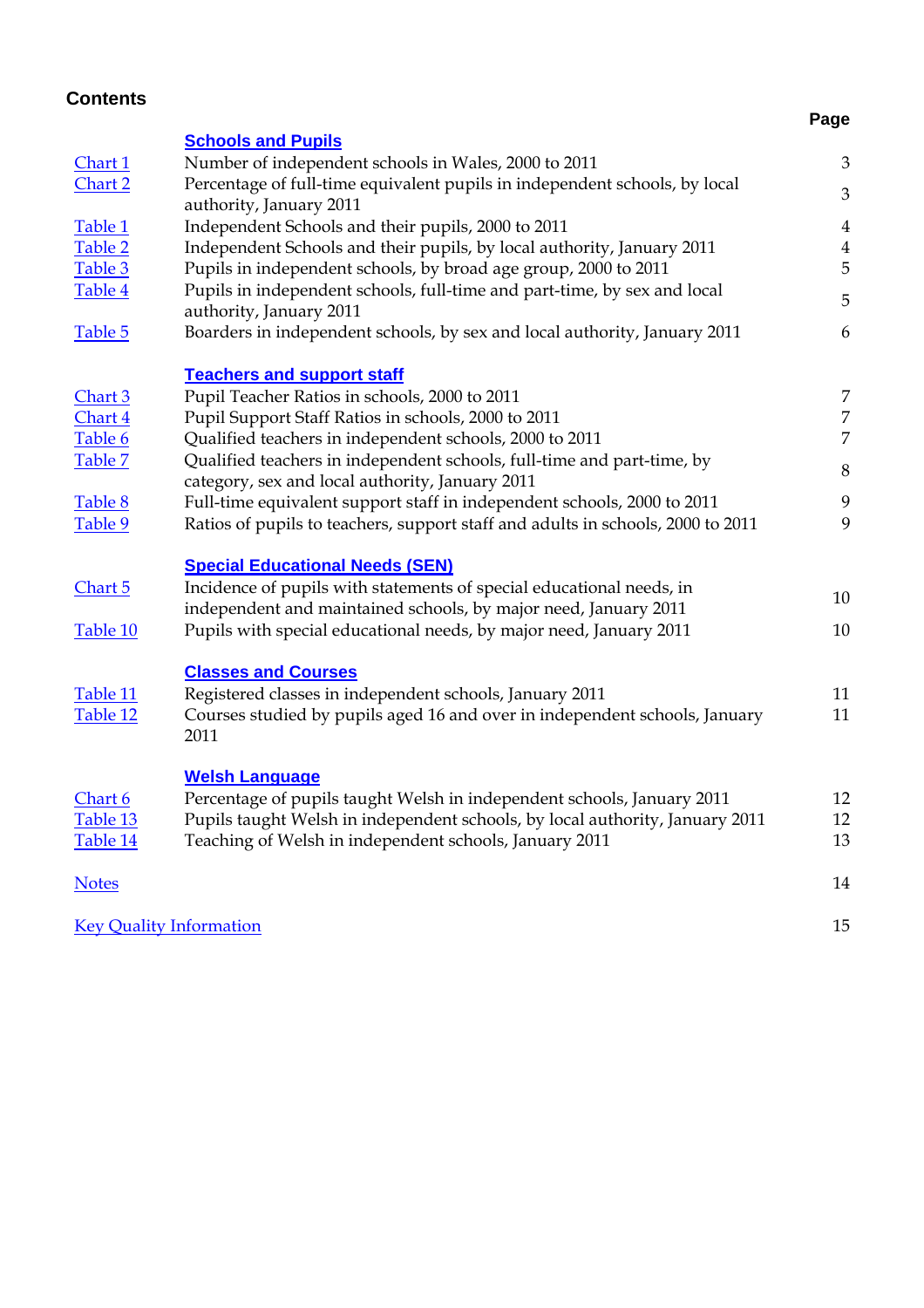| <b>Contents</b>    |                                                                                                                                    |                |
|--------------------|------------------------------------------------------------------------------------------------------------------------------------|----------------|
|                    |                                                                                                                                    | Page           |
|                    | <b>Schools and Pupils</b>                                                                                                          |                |
| Chart 1<br>Chart 2 | Number of independent schools in Wales, 2000 to 2011<br>Percentage of full-time equivalent pupils in independent schools, by local | 3              |
|                    | authority, January 2011                                                                                                            | $\mathfrak{B}$ |
| Table 1            | Independent Schools and their pupils, 2000 to 2011                                                                                 | $\overline{4}$ |
| Table 2            | Independent Schools and their pupils, by local authority, January 2011                                                             | $\overline{4}$ |
| Table 3            | Pupils in independent schools, by broad age group, 2000 to 2011                                                                    | 5              |
| Table 4            | Pupils in independent schools, full-time and part-time, by sex and local<br>authority, January 2011                                | 5              |
| Table 5            | Boarders in independent schools, by sex and local authority, January 2011                                                          | 6              |
|                    | <b>Teachers and support staff</b>                                                                                                  |                |
| Chart 3            | Pupil Teacher Ratios in schools, 2000 to 2011                                                                                      | 7              |
| Chart 4            | Pupil Support Staff Ratios in schools, 2000 to 2011                                                                                | 7              |
| Table 6            | Qualified teachers in independent schools, 2000 to 2011                                                                            | 7              |
| Table 7            | Qualified teachers in independent schools, full-time and part-time, by<br>category, sex and local authority, January 2011          | 8              |
| Table 8            | Full-time equivalent support staff in independent schools, 2000 to 2011                                                            | 9              |
| Table 9            | Ratios of pupils to teachers, support staff and adults in schools, 2000 to 2011                                                    | 9              |
|                    | <b>Special Educational Needs (SEN)</b>                                                                                             |                |
| <u>Chart 5</u>     | Incidence of pupils with statements of special educational needs, in                                                               | 10             |
|                    | independent and maintained schools, by major need, January 2011                                                                    |                |
| Table 10           | Pupils with special educational needs, by major need, January 2011                                                                 | 10             |
|                    | <b>Classes and Courses</b>                                                                                                         |                |
| Table 11           | Registered classes in independent schools, January 2011                                                                            | 11             |
| Table 12           | Courses studied by pupils aged 16 and over in independent schools, January<br>2011                                                 | 11             |
|                    | <b>Welsh Language</b>                                                                                                              |                |
| Chart 6            | Percentage of pupils taught Welsh in independent schools, January 2011                                                             | 12             |
| Table 13           | Pupils taught Welsh in independent schools, by local authority, January 2011                                                       | 12             |
| Table 14           | Teaching of Welsh in independent schools, January 2011                                                                             | 13             |
| <b>Notes</b>       |                                                                                                                                    | 14             |
|                    | <b>Key Quality Information</b>                                                                                                     | 15             |
|                    |                                                                                                                                    |                |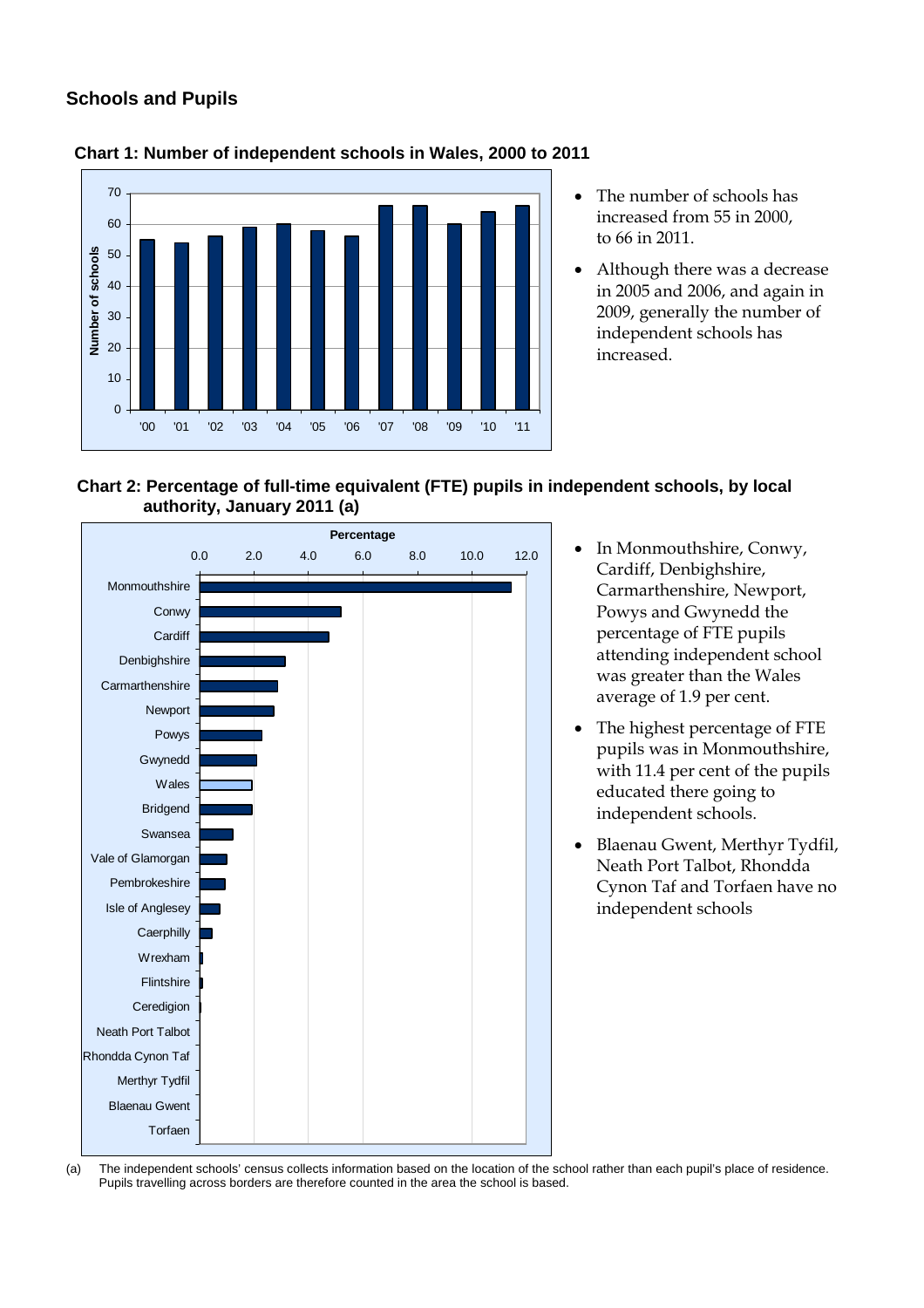# <span id="page-2-0"></span>**Schools and Pupils**



#### **Chart 1: Number of independent schools in Wales, 2000 to 2011**

- The number of schools has increased from 55 in 2000, to 66 in 2011.
- Although there was a decrease in 2005 and 2006, and again in 2009, generally the number of independent schools has increased.





- In Monmouthshire, Conwy, Cardiff, Denbighshire, Carmarthenshire, Newport, Powys and Gwynedd the percentage of FTE pupils attending independent school was greater than the Wales average of 1.9 per cent.
- The highest percentage of FTE pupils was in Monmouthshire, with 11.4 per cent of the pupils educated there going to independent schools.
- Blaenau Gwent, Merthyr Tydfil, Neath Port Talbot, Rhondda Cynon Taf and Torfaen have no independent schools

(a) The independent schools' census collects information based on the location of the school rather than each pupil's place of residence. Pupils travelling across borders are therefore counted in the area the school is based.

3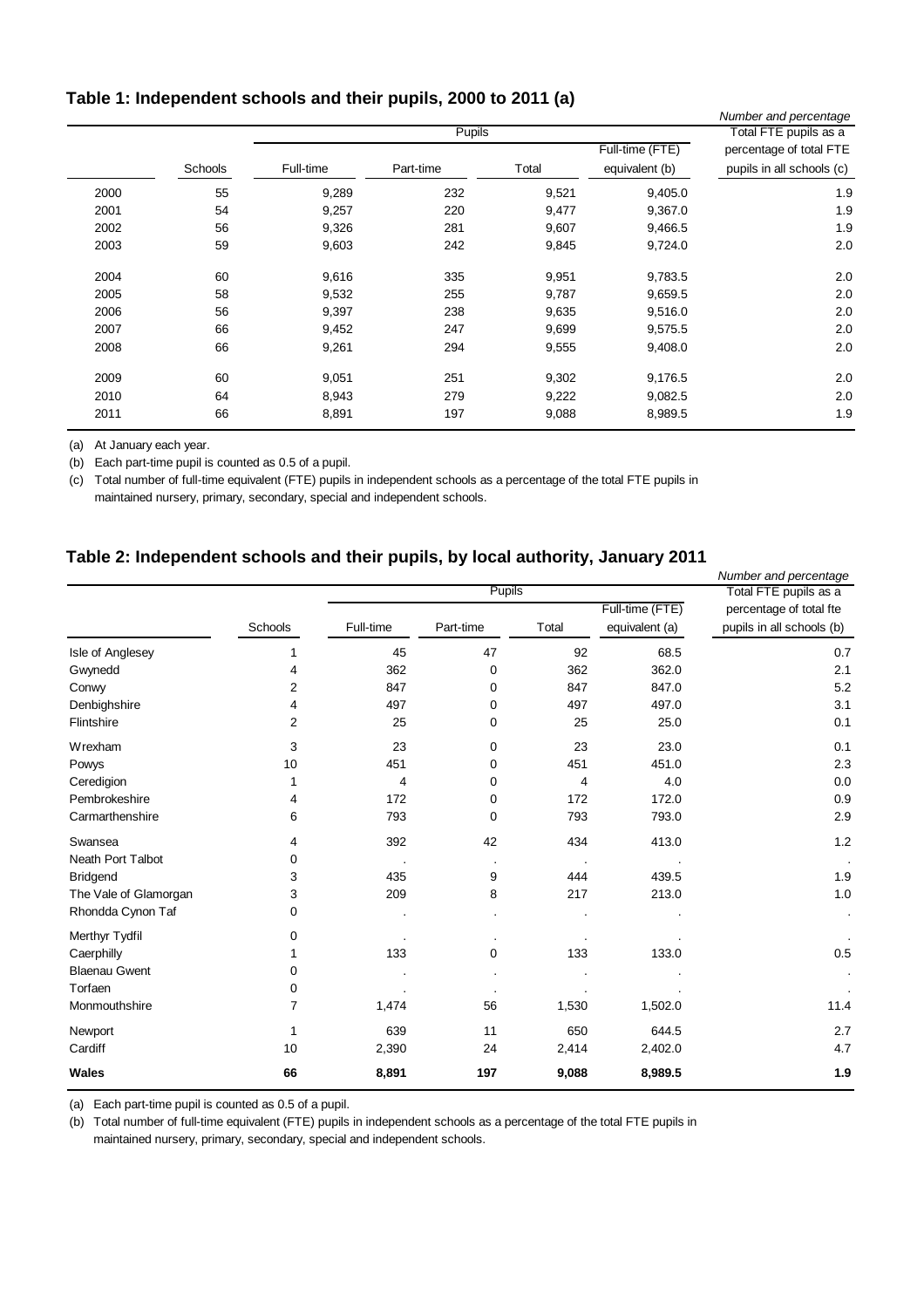### <span id="page-3-0"></span>**Table 1: Independent schools and their pupils, 2000 to 2011 (a)**

|      |         |           |               |       |                 | Number and percentage     |
|------|---------|-----------|---------------|-------|-----------------|---------------------------|
|      |         |           | <b>Pupils</b> |       |                 | Total FTE pupils as a     |
|      |         |           |               |       | Full-time (FTE) | percentage of total FTE   |
|      | Schools | Full-time | Part-time     | Total | equivalent (b)  | pupils in all schools (c) |
| 2000 | 55      | 9,289     | 232           | 9,521 | 9,405.0         | 1.9                       |
| 2001 | 54      | 9,257     | 220           | 9,477 | 9,367.0         | 1.9                       |
| 2002 | 56      | 9,326     | 281           | 9,607 | 9,466.5         | 1.9                       |
| 2003 | 59      | 9,603     | 242           | 9,845 | 9,724.0         | 2.0                       |
| 2004 | 60      | 9,616     | 335           | 9,951 | 9,783.5         | 2.0                       |
| 2005 | 58      | 9,532     | 255           | 9,787 | 9,659.5         | 2.0                       |
| 2006 | 56      | 9,397     | 238           | 9,635 | 9,516.0         | 2.0                       |
| 2007 | 66      | 9,452     | 247           | 9,699 | 9,575.5         | 2.0                       |
| 2008 | 66      | 9,261     | 294           | 9,555 | 9,408.0         | 2.0                       |
| 2009 | 60      | 9,051     | 251           | 9,302 | 9,176.5         | 2.0                       |
| 2010 | 64      | 8,943     | 279           | 9,222 | 9,082.5         | 2.0                       |
| 2011 | 66      | 8,891     | 197           | 9,088 | 8,989.5         | 1.9                       |

(a) At January each year.

(b) Each part-time pupil is counted as 0.5 of a pupil.

(c) Total number of full-time equivalent (FTE) pupils in independent schools as a percentage of the total FTE pupils in maintained nursery, primary, secondary, special and independent schools.

#### **Table 2: Independent schools and their pupils, by local authority, January 2011**

|                       |         |           | Pupils                |       |                 | Number and percentage     |
|-----------------------|---------|-----------|-----------------------|-------|-----------------|---------------------------|
|                       |         |           | Total FTE pupils as a |       |                 |                           |
|                       |         |           |                       |       | Full-time (FTE) | percentage of total fte   |
|                       | Schools | Full-time | Part-time             | Total | equivalent (a)  | pupils in all schools (b) |
| Isle of Anglesey      | 1       | 45        | 47                    | 92    | 68.5            | 0.7                       |
| Gwynedd               | 4       | 362       | 0                     | 362   | 362.0           | 2.1                       |
| Conwy                 | 2       | 847       | 0                     | 847   | 847.0           | 5.2                       |
| Denbighshire          | 4       | 497       | 0                     | 497   | 497.0           | 3.1                       |
| Flintshire            | 2       | 25        | 0                     | 25    | 25.0            | 0.1                       |
| Wrexham               | 3       | 23        | 0                     | 23    | 23.0            | 0.1                       |
| Powys                 | 10      | 451       | 0                     | 451   | 451.0           | 2.3                       |
| Ceredigion            | 1       | 4         | 0                     | 4     | 4.0             | 0.0                       |
| Pembrokeshire         | 4       | 172       | 0                     | 172   | 172.0           | 0.9                       |
| Carmarthenshire       | 6       | 793       | 0                     | 793   | 793.0           | 2.9                       |
| Swansea               | 4       | 392       | 42                    | 434   | 413.0           | 1.2                       |
| Neath Port Talbot     | 0       |           |                       |       |                 |                           |
| <b>Bridgend</b>       | 3       | 435       | 9                     | 444   | 439.5           | 1.9                       |
| The Vale of Glamorgan | 3       | 209       | 8                     | 217   | 213.0           | 1.0                       |
| Rhondda Cynon Taf     | 0       |           |                       |       |                 | $\blacksquare$            |
| Merthyr Tydfil        | 0       |           |                       |       |                 |                           |
| Caerphilly            |         | 133       | 0                     | 133   | 133.0           | 0.5                       |
| <b>Blaenau Gwent</b>  | 0       |           |                       |       |                 | $\cdot$                   |
| Torfaen               | 0       |           |                       |       |                 |                           |
| Monmouthshire         | 7       | 1,474     | 56                    | 1,530 | 1,502.0         | 11.4                      |
| Newport               | 1       | 639       | 11                    | 650   | 644.5           | 2.7                       |
| Cardiff               | 10      | 2,390     | 24                    | 2,414 | 2,402.0         | 4.7                       |
| <b>Wales</b>          | 66      | 8,891     | 197                   | 9,088 | 8,989.5         | $1.9$                     |

(a) Each part-time pupil is counted as 0.5 of a pupil.

(b) Total number of full-time equivalent (FTE) pupils in independent schools as a percentage of the total FTE pupils in maintained nursery, primary, secondary, special and independent schools.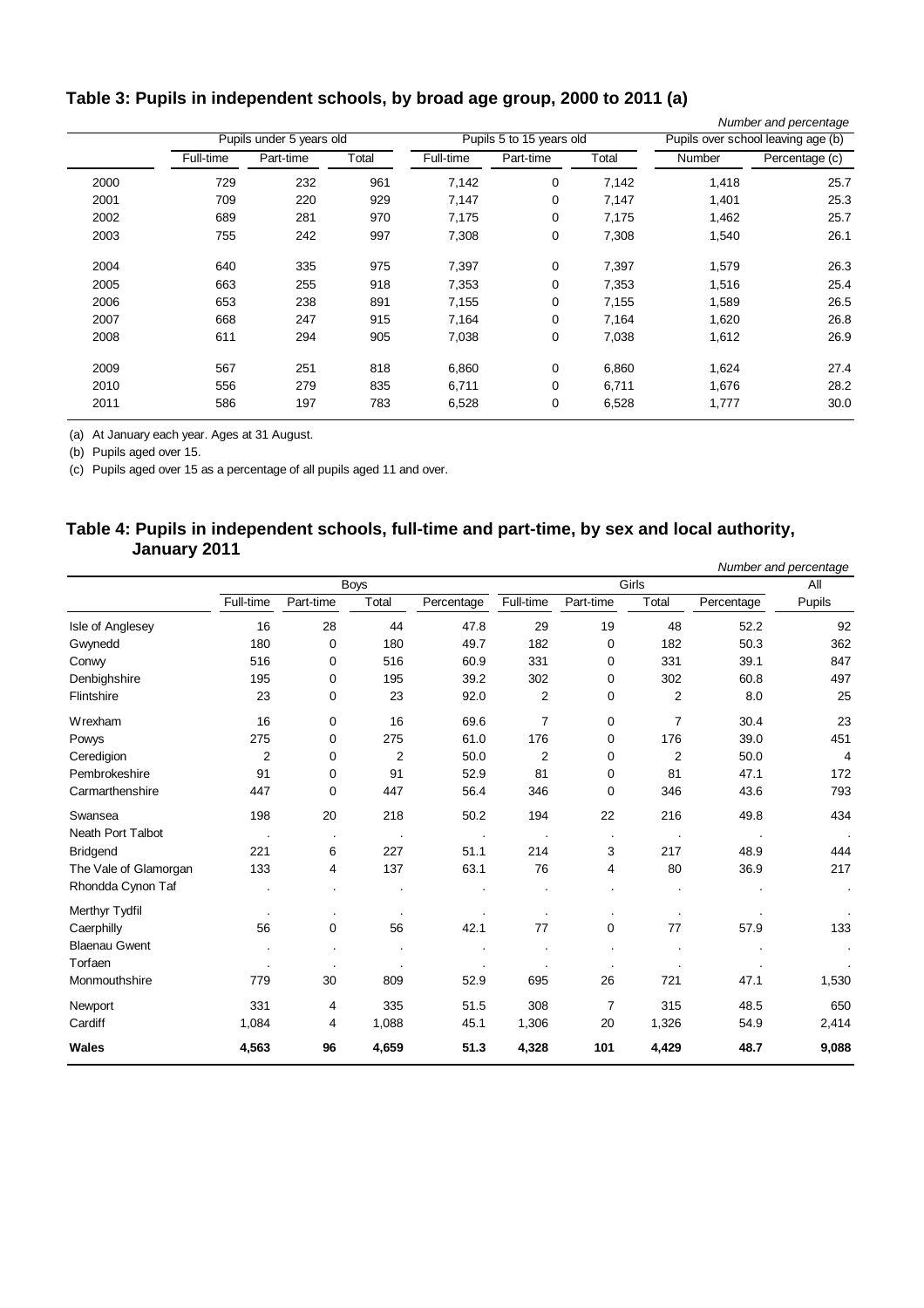# <span id="page-4-0"></span>**Table 3: Pupils in independent schools, by broad age group, 2000 to 2011 (a)**

|      |           |                          |       |           |                          |                                    |        | Number and percentage |
|------|-----------|--------------------------|-------|-----------|--------------------------|------------------------------------|--------|-----------------------|
|      |           | Pupils under 5 years old |       |           | Pupils 5 to 15 years old | Pupils over school leaving age (b) |        |                       |
|      | Full-time | Part-time                | Total | Full-time | Part-time                | Total                              | Number | Percentage (c)        |
| 2000 | 729       | 232                      | 961   | 7,142     | 0                        | 7,142                              | 1,418  | 25.7                  |
| 2001 | 709       | 220                      | 929   | 7,147     | 0                        | 7,147                              | 1,401  | 25.3                  |
| 2002 | 689       | 281                      | 970   | 7,175     | 0                        | 7,175                              | 1,462  | 25.7                  |
| 2003 | 755       | 242                      | 997   | 7,308     | 0                        | 7,308                              | 1,540  | 26.1                  |
| 2004 | 640       | 335                      | 975   | 7,397     | 0                        | 7,397                              | 1,579  | 26.3                  |
| 2005 | 663       | 255                      | 918   | 7,353     | 0                        | 7,353                              | 1,516  | 25.4                  |
| 2006 | 653       | 238                      | 891   | 7,155     | 0                        | 7,155                              | 1,589  | 26.5                  |
| 2007 | 668       | 247                      | 915   | 7,164     | 0                        | 7,164                              | 1,620  | 26.8                  |
| 2008 | 611       | 294                      | 905   | 7,038     | 0                        | 7,038                              | 1,612  | 26.9                  |
| 2009 | 567       | 251                      | 818   | 6,860     | 0                        | 6,860                              | 1,624  | 27.4                  |
| 2010 | 556       | 279                      | 835   | 6,711     | 0                        | 6,711                              | 1,676  | 28.2                  |
| 2011 | 586       | 197                      | 783   | 6,528     | 0                        | 6,528                              | 1,777  | 30.0                  |
|      |           |                          |       |           |                          |                                    |        |                       |

(a) At January each year. Ages at 31 August.

(b) Pupils aged over 15.

(c) Pupils aged over 15 as a percentage of all pupils aged 11 and over.

#### **Table 4: Pupils in independent schools, full-time and part-time, by sex and local authority, January 2011**

|                          |                |                |             |            |                |                |                |            | Number and percentage |
|--------------------------|----------------|----------------|-------------|------------|----------------|----------------|----------------|------------|-----------------------|
|                          |                |                | <b>Boys</b> |            |                |                | Girls          |            | All                   |
|                          | Full-time      | Part-time      | Total       | Percentage | Full-time      | Part-time      | Total          | Percentage | Pupils                |
| Isle of Anglesey         | 16             | 28             | 44          | 47.8       | 29             | 19             | 48             | 52.2       | 92                    |
| Gwynedd                  | 180            | $\mathbf 0$    | 180         | 49.7       | 182            | $\mathbf 0$    | 182            | 50.3       | 362                   |
| Conwy                    | 516            | 0              | 516         | 60.9       | 331            | 0              | 331            | 39.1       | 847                   |
| Denbighshire             | 195            | 0              | 195         | 39.2       | 302            | $\mathbf 0$    | 302            | 60.8       | 497                   |
| Flintshire               | 23             | $\mathbf 0$    | 23          | 92.0       | $\overline{2}$ | $\mathbf 0$    | $\overline{2}$ | 8.0        | 25                    |
| Wrexham                  | 16             | $\mathbf 0$    | 16          | 69.6       | $\overline{7}$ | $\mathbf 0$    | $\overline{7}$ | 30.4       | 23                    |
| Powys                    | 275            | 0              | 275         | 61.0       | 176            | 0              | 176            | 39.0       | 451                   |
| Ceredigion               | $\overline{2}$ | 0              | 2           | 50.0       | $\overline{2}$ | $\mathbf 0$    | $\overline{2}$ | 50.0       | 4                     |
| Pembrokeshire            | 91             | $\mathbf 0$    | 91          | 52.9       | 81             | $\mathbf 0$    | 81             | 47.1       | 172                   |
| Carmarthenshire          | 447            | $\mathbf 0$    | 447         | 56.4       | 346            | $\mathbf 0$    | 346            | 43.6       | 793                   |
| Swansea                  | 198            | 20             | 218         | 50.2       | 194            | 22             | 216            | 49.8       | 434                   |
| <b>Neath Port Talbot</b> |                |                |             |            |                |                |                |            |                       |
| <b>Bridgend</b>          | 221            | 6              | 227         | 51.1       | 214            | 3              | 217            | 48.9       | 444                   |
| The Vale of Glamorgan    | 133            | 4              | 137         | 63.1       | 76             | 4              | 80             | 36.9       | 217                   |
| Rhondda Cynon Taf        |                | $\cdot$        |             |            |                |                |                |            |                       |
| Merthyr Tydfil           |                | $\bullet$      |             |            |                |                |                |            |                       |
| Caerphilly               | 56             | $\mathbf 0$    | 56          | 42.1       | 77             | $\mathbf 0$    | 77             | 57.9       | 133                   |
| <b>Blaenau Gwent</b>     |                | $\cdot$        |             |            |                |                |                |            |                       |
| Torfaen                  |                |                |             |            |                |                |                |            |                       |
| Monmouthshire            | 779            | 30             | 809         | 52.9       | 695            | 26             | 721            | 47.1       | 1,530                 |
| Newport                  | 331            | 4              | 335         | 51.5       | 308            | $\overline{7}$ | 315            | 48.5       | 650                   |
| Cardiff                  | 1,084          | $\overline{4}$ | 1,088       | 45.1       | 1,306          | 20             | 1,326          | 54.9       | 2,414                 |
| Wales                    | 4,563          | 96             | 4,659       | 51.3       | 4,328          | 101            | 4,429          | 48.7       | 9,088                 |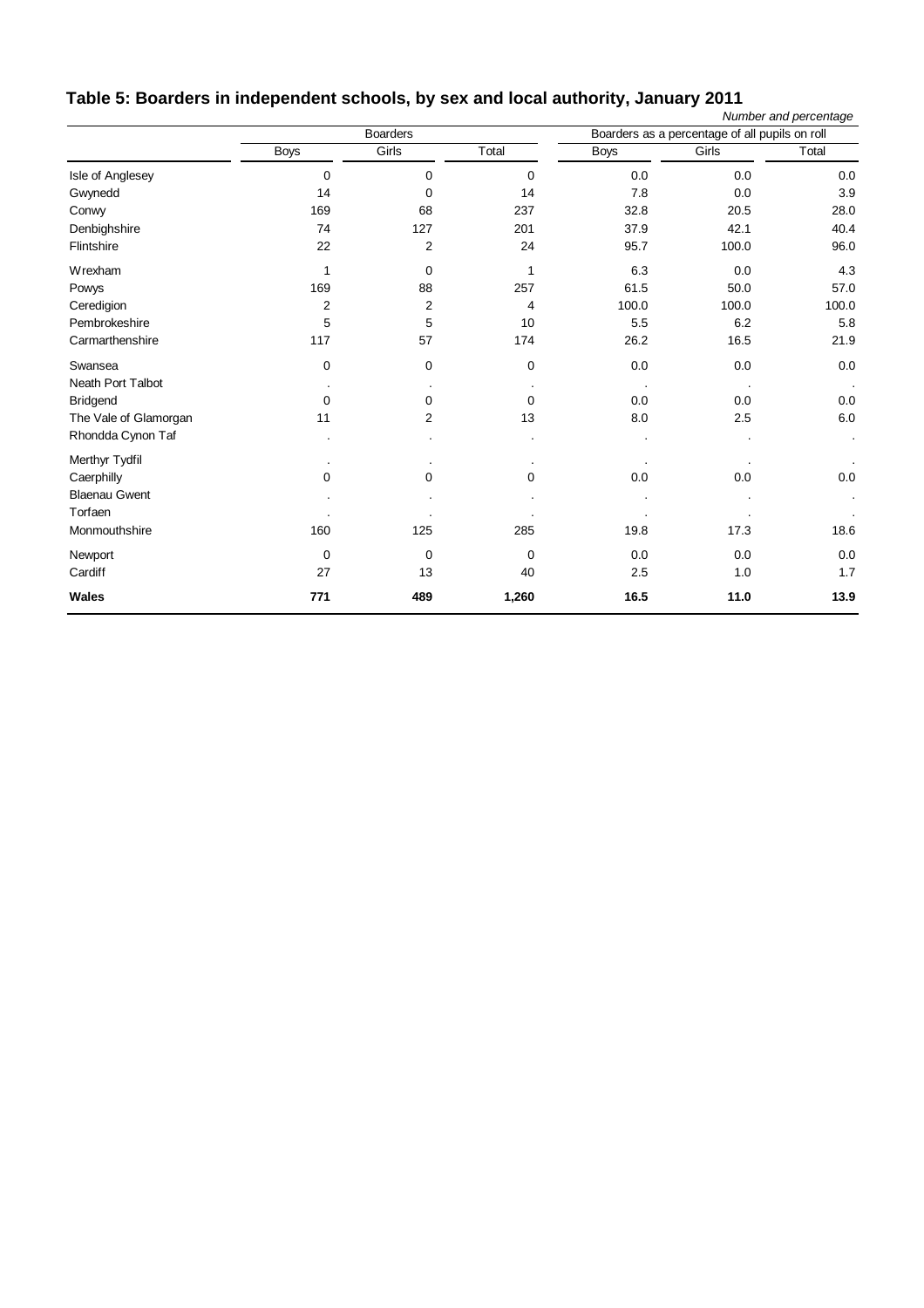<span id="page-5-0"></span>

| Table 5: Boarders in independent schools, by sex and local authority, January 2011 |  |  |
|------------------------------------------------------------------------------------|--|--|
|                                                                                    |  |  |

|                       |                |                 |              |             |                                                | Number and percentage |
|-----------------------|----------------|-----------------|--------------|-------------|------------------------------------------------|-----------------------|
|                       |                | <b>Boarders</b> |              |             | Boarders as a percentage of all pupils on roll |                       |
|                       | <b>Boys</b>    | Girls           | Total        | <b>Boys</b> | Girls                                          | Total                 |
| Isle of Anglesey      | 0              | 0               | 0            | 0.0         | 0.0                                            | 0.0                   |
| Gwynedd               | 14             | $\mathbf 0$     | 14           | 7.8         | 0.0                                            | 3.9                   |
| Conwy                 | 169            | 68              | 237          | 32.8        | 20.5                                           | 28.0                  |
| Denbighshire          | 74             | 127             | 201          | 37.9        | 42.1                                           | 40.4                  |
| Flintshire            | 22             | 2               | 24           | 95.7        | 100.0                                          | 96.0                  |
| Wrexham               | $\mathbf{1}$   | $\mathbf 0$     | $\mathbf{1}$ | 6.3         | 0.0                                            | 4.3                   |
| Powys                 | 169            | 88              | 257          | 61.5        | 50.0                                           | 57.0                  |
| Ceredigion            | $\overline{2}$ | $\mathbf{2}$    | 4            | 100.0       | 100.0                                          | 100.0                 |
| Pembrokeshire         | 5              | 5               | 10           | 5.5         | 6.2                                            | 5.8                   |
| Carmarthenshire       | 117            | 57              | 174          | 26.2        | 16.5                                           | 21.9                  |
| Swansea               | $\mathbf 0$    | 0               | 0            | 0.0         | 0.0                                            | 0.0                   |
| Neath Port Talbot     |                |                 |              |             |                                                |                       |
| <b>Bridgend</b>       | 0              | 0               | $\Omega$     | 0.0         | 0.0                                            | 0.0                   |
| The Vale of Glamorgan | 11             | $\overline{c}$  | 13           | 8.0         | 2.5                                            | $6.0\,$               |
| Rhondda Cynon Taf     |                | $\cdot$         |              |             |                                                | $\cdot$               |
| Merthyr Tydfil        | $\cdot$        |                 |              |             |                                                |                       |
| Caerphilly            | 0              | 0               | 0            | 0.0         | 0.0                                            | 0.0                   |
| <b>Blaenau Gwent</b>  |                |                 |              |             |                                                | $\cdot$               |
| Torfaen               |                |                 |              |             |                                                |                       |
| Monmouthshire         | 160            | 125             | 285          | 19.8        | 17.3                                           | 18.6                  |
| Newport               | 0              | $\mathbf 0$     | $\mathbf 0$  | 0.0         | 0.0                                            | 0.0                   |
| Cardiff               | 27             | 13              | 40           | 2.5         | 1.0                                            | 1.7                   |
| <b>Wales</b>          | 771            | 489             | 1,260        | 16.5        | 11.0                                           | 13.9                  |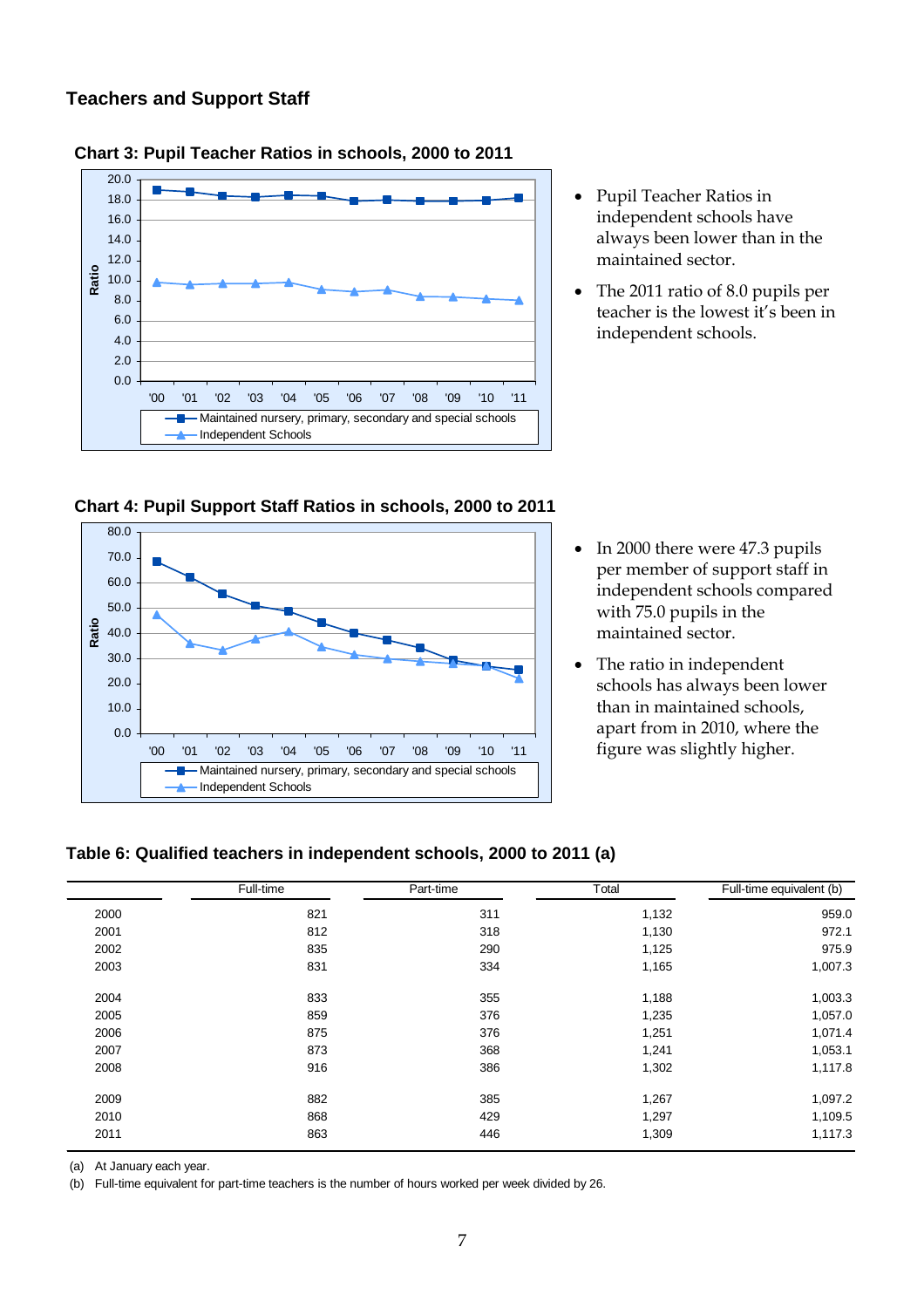### <span id="page-6-0"></span>**Teachers and Support Staff**



#### **Chart 3: Pupil Teacher Ratios in schools, 2000 to 2011**



• The 2011 ratio of 8.0 pupils per teacher is the lowest it's been in independent schools.

**Chart 4: Pupil Support Staff Ratios in schools, 2000 to 2011** 



- In 2000 there were 47.3 pupils per member of support staff in independent schools compared with 75.0 pupils in the maintained sector.
- The ratio in independent schools has always been lower than in maintained schools, apart from in 2010, where the figure was slightly higher.

#### **Table 6: Qualified teachers in independent schools, 2000 to 2011 (a)**

|      | Full-time | Part-time | Total | Full-time equivalent (b) |
|------|-----------|-----------|-------|--------------------------|
| 2000 | 821       | 311       | 1,132 | 959.0                    |
| 2001 | 812       | 318       | 1,130 | 972.1                    |
| 2002 | 835       | 290       | 1,125 | 975.9                    |
| 2003 | 831       | 334       | 1,165 | 1,007.3                  |
| 2004 | 833       | 355       | 1,188 | 1,003.3                  |
| 2005 | 859       | 376       | 1,235 | 1,057.0                  |
| 2006 | 875       | 376       | 1,251 | 1,071.4                  |
| 2007 | 873       | 368       | 1,241 | 1,053.1                  |
| 2008 | 916       | 386       | 1,302 | 1,117.8                  |
| 2009 | 882       | 385       | 1,267 | 1,097.2                  |
| 2010 | 868       | 429       | 1,297 | 1,109.5                  |
| 2011 | 863       | 446       | 1,309 | 1,117.3                  |

(a) At January each year.

(b) Full-time equivalent for part-time teachers is the number of hours worked per week divided by 26.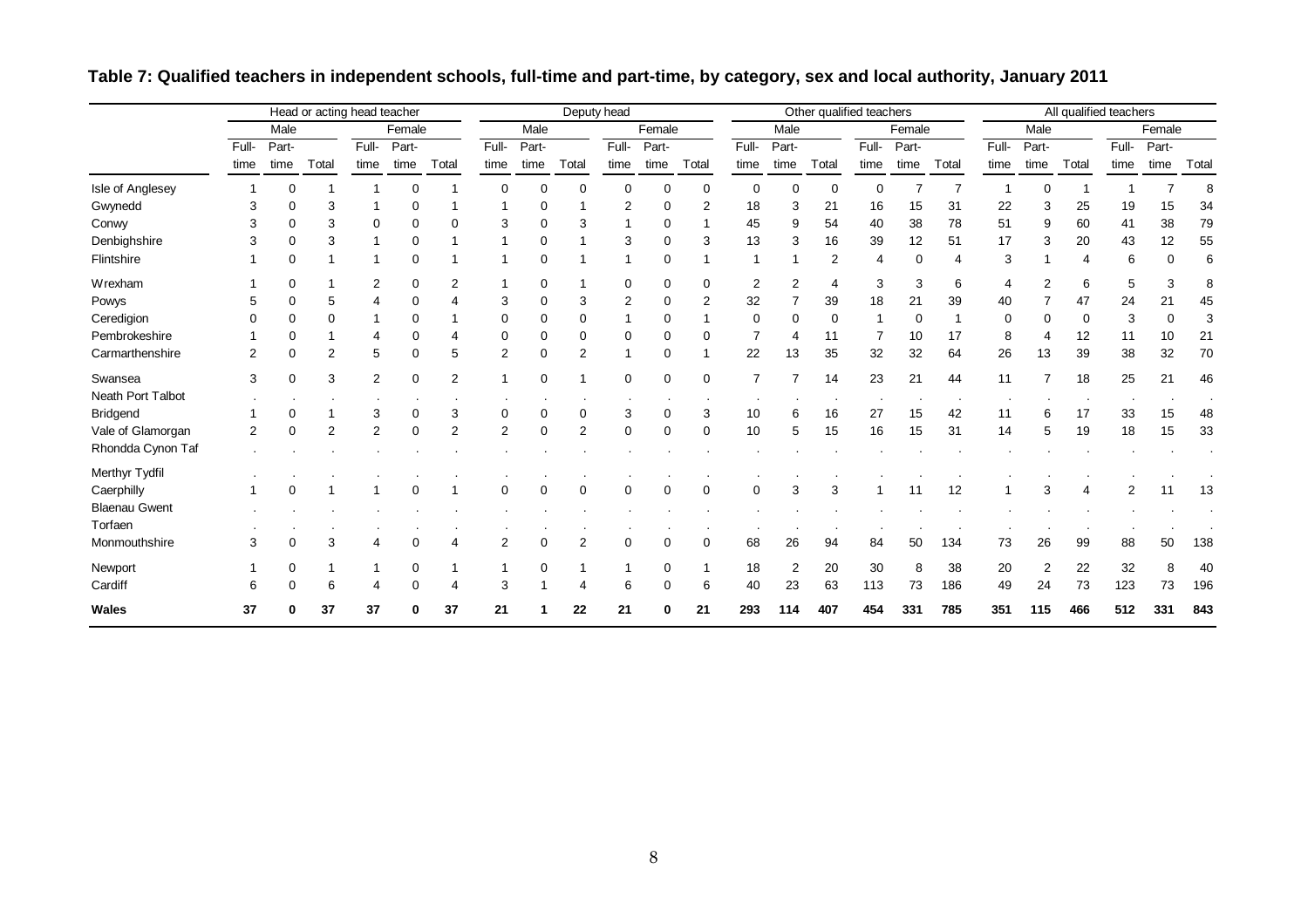<span id="page-7-0"></span>

|                      |                |             | Head or acting head teacher |                |             |                       |                |             |                | Deputy head |             |             |                |                | Other qualified teachers |                |        |       |       |                | All qualified teachers |       |          |       |
|----------------------|----------------|-------------|-----------------------------|----------------|-------------|-----------------------|----------------|-------------|----------------|-------------|-------------|-------------|----------------|----------------|--------------------------|----------------|--------|-------|-------|----------------|------------------------|-------|----------|-------|
|                      |                | Male        |                             |                | Female      |                       |                | Male        |                |             | Female      |             |                | Male           |                          |                | Female |       |       | Male           |                        |       | Female   |       |
|                      | Full-          | Part-       |                             | Full-          | Part-       |                       | Full-          | Part-       |                | Full-       | Part-       |             | Full-          | Part-          |                          | Full-          | Part-  |       | Full- | Part-          |                        | Full- | Part-    |       |
|                      | time           | time        | Total                       | time           | time        | Total                 | time           | time        | Total          | time        | time        | Total       | time           | time           | Total                    | time           | time   | Total | time  | time           | Total                  | time  | time     | Total |
| Isle of Anglesey     |                | $\Omega$    |                             |                |             |                       | ∩              | $\Omega$    | $\Omega$       | $\Omega$    | $\Omega$    | 0           | 0              |                | 0                        | 0              |        |       |       | O              |                        |       |          | 8     |
| Gwynedd              | 3              | 0           | 3                           |                |             |                       |                |             |                | 2           |             | 2           | 18             | 3              | 21                       | 16             | 15     | 31    | 22    | 3              | 25                     | 19    | 15       | 34    |
| Conwy                | 3              | $\Omega$    | 3                           | 0              | 0           | $\Omega$              | 3              | $\Omega$    | 3              |             |             |             | 45             | 9              | 54                       | 40             | 38     | 78    | 51    | 9              | 60                     | 41    | 38       | 79    |
| Denbighshire         | 3              | $\Omega$    | 3                           |                | 0           |                       |                | 0           |                | 3           |             | 3           | 13             | 3              | 16                       | 39             | 12     | 51    | 17    | 3              | 20                     | 43    | 12       | 55    |
| Flintshire           |                | $\Omega$    |                             |                | $\Omega$    |                       |                | 0           |                |             | $\Omega$    |             | 1              |                | 2                        | $\overline{4}$ | 0      |       | 3     |                | $\overline{4}$         | 6     | $\Omega$ | 6     |
| Wrexham              |                | $\Omega$    |                             | $\overline{2}$ | 0           | 2                     |                | 0           |                | 0           | $\Omega$    | 0           | $\overline{2}$ | 2              | 4                        | 3              | 3      | 6     | 4     | 2              | 6                      | 5     | 3        | 8     |
| Powys                | 5              | $\Omega$    | 5                           |                |             |                       | 3              | $\Omega$    | 3              | 2           |             | 2           | 32             |                | 39                       | 18             | 21     | 39    | 40    |                | 47                     | 24    | 21       | 45    |
| Ceredigion           |                |             |                             |                | 0           |                       |                | 0           | 0              |             |             |             | 0              |                | 0                        |                | 0      |       | 0     | 0              | $\Omega$               | 3     | O        | 3     |
| Pembrokeshire        |                | $\Omega$    |                             |                |             |                       | O              | $\Omega$    | 0              | 0           | $\Omega$    | 0           | $\overline{7}$ |                | 11                       | $\overline{7}$ | 10     | 17    | 8     | 4              | 12                     | 11    | 10       | 21    |
| Carmarthenshire      | 2              | $\Omega$    | $\overline{2}$              | 5              |             | 5                     | $\overline{2}$ | 0           | $\overline{2}$ |             |             |             | 22             | 13             | 35                       | 32             | 32     | 64    | 26    | 13             | 39                     | 38    | 32       | 70    |
| Swansea              | 3              | $\mathbf 0$ | 3                           | 2              | $\Omega$    | $\overline{2}$        |                | 0           |                | $\Omega$    | $\Omega$    | 0           | $\overline{7}$ |                | 14                       | 23             | 21     | 44    | 11    | $\overline{ }$ | 18                     | 25    | 21       | 46    |
| Neath Port Talbot    |                |             |                             |                |             |                       |                |             |                |             |             |             |                |                |                          |                |        |       |       |                |                        |       |          |       |
| <b>Bridgend</b>      |                | 0           |                             | 3              | 0           | 3                     | 0              | 0           | $\mathbf 0$    | 3           | 0           | 3           | 10             | 6              | 16                       | 27             | 15     | 42    | 11    | 6              | 17                     | 33    | 15       | 48    |
| Vale of Glamorgan    | $\overline{2}$ | $\mathbf 0$ | $\overline{2}$              | $\overline{2}$ | $\mathbf 0$ | $\overline{2}$        | $\overline{2}$ | $\mathbf 0$ | $\overline{2}$ | $\mathbf 0$ | $\mathbf 0$ | 0           | 10             | 5              | 15                       | 16             | 15     | 31    | 14    | 5              | 19                     | 18    | 15       | 33    |
| Rhondda Cynon Taf    |                |             |                             |                |             |                       |                |             |                |             |             |             |                |                |                          |                |        |       |       |                |                        |       |          |       |
| Merthyr Tydfil       |                |             |                             |                |             |                       |                |             |                |             |             |             |                |                |                          |                |        |       |       |                |                        |       |          |       |
| Caerphilly           |                | 0           |                             |                |             |                       | $\Omega$       | $\mathbf 0$ | $\mathbf 0$    | $\mathbf 0$ | $\mathbf 0$ | $\mathbf 0$ | $\mathbf 0$    | 3              | 3                        |                | 11     | 12    |       | 3              |                        |       |          | 13    |
| <b>Blaenau Gwent</b> |                |             |                             |                |             |                       |                |             |                |             |             |             |                |                |                          |                |        |       |       |                |                        |       |          |       |
| Torfaen              |                |             |                             |                |             |                       |                |             |                |             |             |             |                |                |                          |                |        |       |       |                |                        |       |          |       |
| Monmouthshire        | 3              | $\Omega$    | 3                           |                | $\Omega$    | $\boldsymbol{\Delta}$ | $\overline{2}$ | $\mathbf 0$ | 2              | $\Omega$    | $\Omega$    | $\mathbf 0$ | 68             | 26             | 94                       | 84             | 50     | 134   | 73    | 26             | 99                     | 88    | 50       | 138   |
| Newport              |                | $\Omega$    | 1                           |                | 0           |                       |                | 0           |                |             | 0           |             | 18             | $\overline{2}$ | 20                       | 30             | 8      | 38    | 20    | 2              | 22                     | 32    | 8        | 40    |
| Cardiff              | 6              | $\mathbf 0$ | 6                           |                | $\mathbf 0$ | 4                     | 3              |             | 4              | 6           | $\mathbf 0$ | 6           | 40             | 23             | 63                       | 113            | 73     | 186   | 49    | 24             | 73                     | 123   | 73       | 196   |
| Wales                | 37             | 0           | 37                          | 37             | ŋ           | 37                    | 21             |             | 22             | 21          | 0           | 21          | 293            | 114            | 407                      | 454            | 331    | 785   | 351   | 115            | 466                    | 512   | 331      | 843   |

# **Table 7: Qualified teachers in independent schools, full-time and part-time, by category, sex and local authority, January 2011**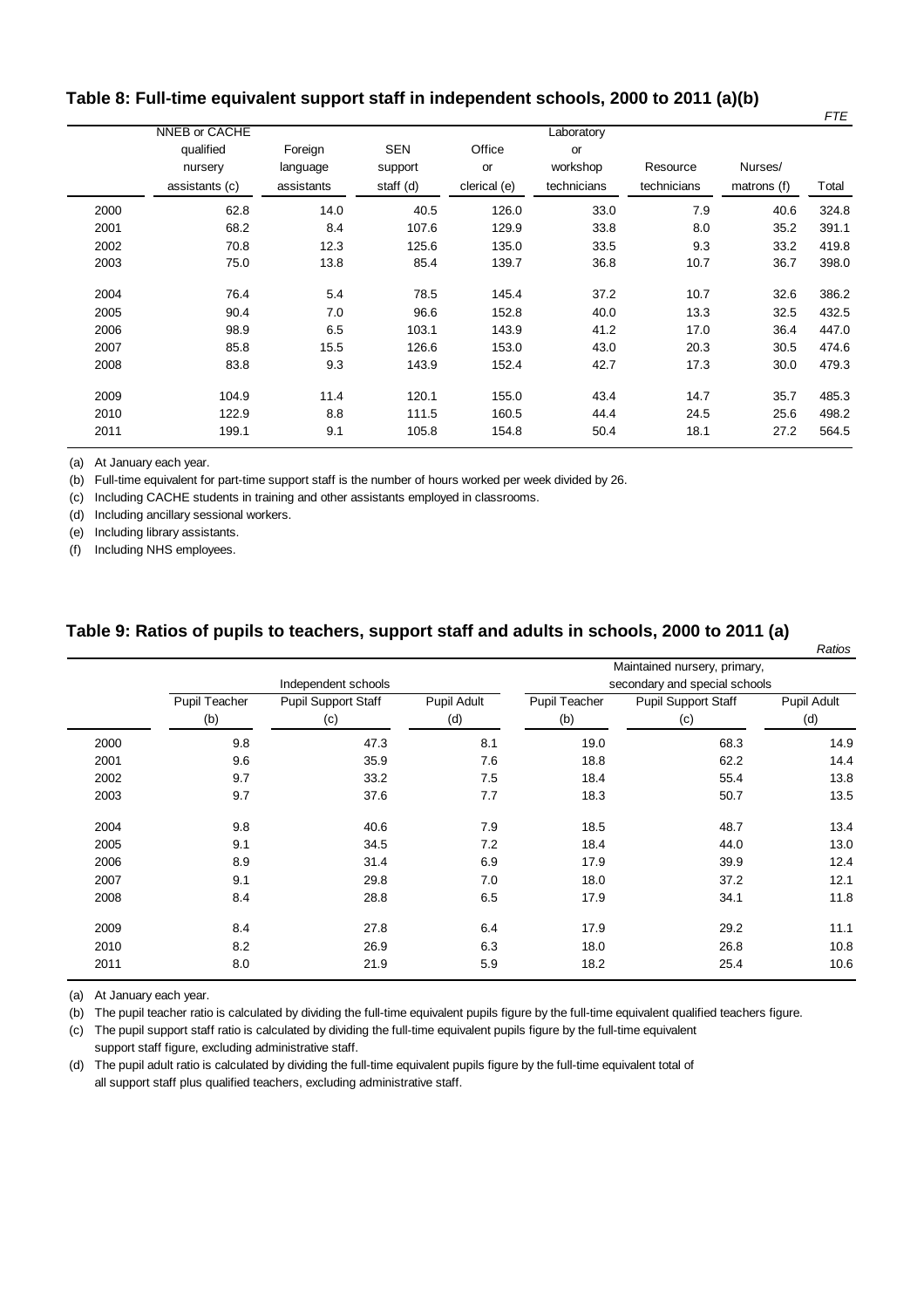## <span id="page-8-0"></span>**Table 8: Full-time equivalent support staff in independent schools, 2000 to 2011 (a)(b)**

|      | NNEB or CACHE                          |                                   |                                    |                              | Laboratory                    |                         |                        |       |
|------|----------------------------------------|-----------------------------------|------------------------------------|------------------------------|-------------------------------|-------------------------|------------------------|-------|
|      | qualified<br>nursery<br>assistants (c) | Foreign<br>language<br>assistants | <b>SEN</b><br>support<br>staff (d) | Office<br>or<br>clerical (e) | or<br>workshop<br>technicians | Resource<br>technicians | Nurses/<br>matrons (f) | Total |
| 2000 | 62.8                                   | 14.0                              | 40.5                               | 126.0                        | 33.0                          | 7.9                     | 40.6                   | 324.8 |
|      |                                        |                                   |                                    |                              |                               |                         |                        |       |
| 2001 | 68.2                                   | 8.4                               | 107.6                              | 129.9                        | 33.8                          | 8.0                     | 35.2                   | 391.1 |
| 2002 | 70.8                                   | 12.3                              | 125.6                              | 135.0                        | 33.5                          | 9.3                     | 33.2                   | 419.8 |
| 2003 | 75.0                                   | 13.8                              | 85.4                               | 139.7                        | 36.8                          | 10.7                    | 36.7                   | 398.0 |
| 2004 | 76.4                                   | 5.4                               | 78.5                               | 145.4                        | 37.2                          | 10.7                    | 32.6                   | 386.2 |
| 2005 | 90.4                                   | 7.0                               | 96.6                               | 152.8                        | 40.0                          | 13.3                    | 32.5                   | 432.5 |
| 2006 | 98.9                                   | 6.5                               | 103.1                              | 143.9                        | 41.2                          | 17.0                    | 36.4                   | 447.0 |
| 2007 | 85.8                                   | 15.5                              | 126.6                              | 153.0                        | 43.0                          | 20.3                    | 30.5                   | 474.6 |
| 2008 | 83.8                                   | 9.3                               | 143.9                              | 152.4                        | 42.7                          | 17.3                    | 30.0                   | 479.3 |
| 2009 | 104.9                                  | 11.4                              | 120.1                              | 155.0                        | 43.4                          | 14.7                    | 35.7                   | 485.3 |
| 2010 | 122.9                                  | 8.8                               | 111.5                              | 160.5                        | 44.4                          | 24.5                    | 25.6                   | 498.2 |
| 2011 | 199.1                                  | 9.1                               | 105.8                              | 154.8                        | 50.4                          | 18.1                    | 27.2                   | 564.5 |

(a) At January each year.

(b) Full-time equivalent for part-time support staff is the number of hours worked per week divided by 26.

(c) Including CACHE students in training and other assistants employed in classrooms.

(d) Including ancillary sessional workers.

(e) Including library assistants.

(f) Including NHS employees.

#### **Table 9: Ratios of pupils to teachers, support staff and adults in schools, 2000 to 2011 (a)**

|      |               |                            |             |               |                               | Ratios      |
|------|---------------|----------------------------|-------------|---------------|-------------------------------|-------------|
|      |               |                            |             |               | Maintained nursery, primary,  |             |
|      |               | Independent schools        |             |               | secondary and special schools |             |
|      | Pupil Teacher | <b>Pupil Support Staff</b> | Pupil Adult | Pupil Teacher | <b>Pupil Support Staff</b>    | Pupil Adult |
|      | (b)           | (c)                        | (d)         | (b)           | (c)                           | (d)         |
| 2000 | 9.8           | 47.3                       | 8.1         | 19.0          | 68.3                          | 14.9        |
| 2001 | 9.6           | 35.9                       | 7.6         | 18.8          | 62.2                          | 14.4        |
| 2002 | 9.7           | 33.2                       | 7.5         | 18.4          | 55.4                          | 13.8        |
| 2003 | 9.7           | 37.6                       | 7.7         | 18.3          | 50.7                          | 13.5        |
| 2004 | 9.8           | 40.6                       | 7.9         | 18.5          | 48.7                          | 13.4        |
| 2005 | 9.1           | 34.5                       | 7.2         | 18.4          | 44.0                          | 13.0        |
| 2006 | 8.9           | 31.4                       | 6.9         | 17.9          | 39.9                          | 12.4        |
| 2007 | 9.1           | 29.8                       | 7.0         | 18.0          | 37.2                          | 12.1        |
| 2008 | 8.4           | 28.8                       | 6.5         | 17.9          | 34.1                          | 11.8        |
| 2009 | 8.4           | 27.8                       | 6.4         | 17.9          | 29.2                          | 11.1        |
| 2010 | 8.2           | 26.9                       | 6.3         | 18.0          | 26.8                          | 10.8        |
| 2011 | 8.0           | 21.9                       | 5.9         | 18.2          | 25.4                          | 10.6        |

(a) At January each year.

(b) The pupil teacher ratio is calculated by dividing the full-time equivalent pupils figure by the full-time equivalent qualified teachers figure.

(c) The pupil support staff ratio is calculated by dividing the full-time equivalent pupils figure by the full-time equivalent support staff figure, excluding administrative staff.

(d) The pupil adult ratio is calculated by dividing the full-time equivalent pupils figure by the full-time equivalent total of all support staff plus qualified teachers, excluding administrative staff.

*FTE*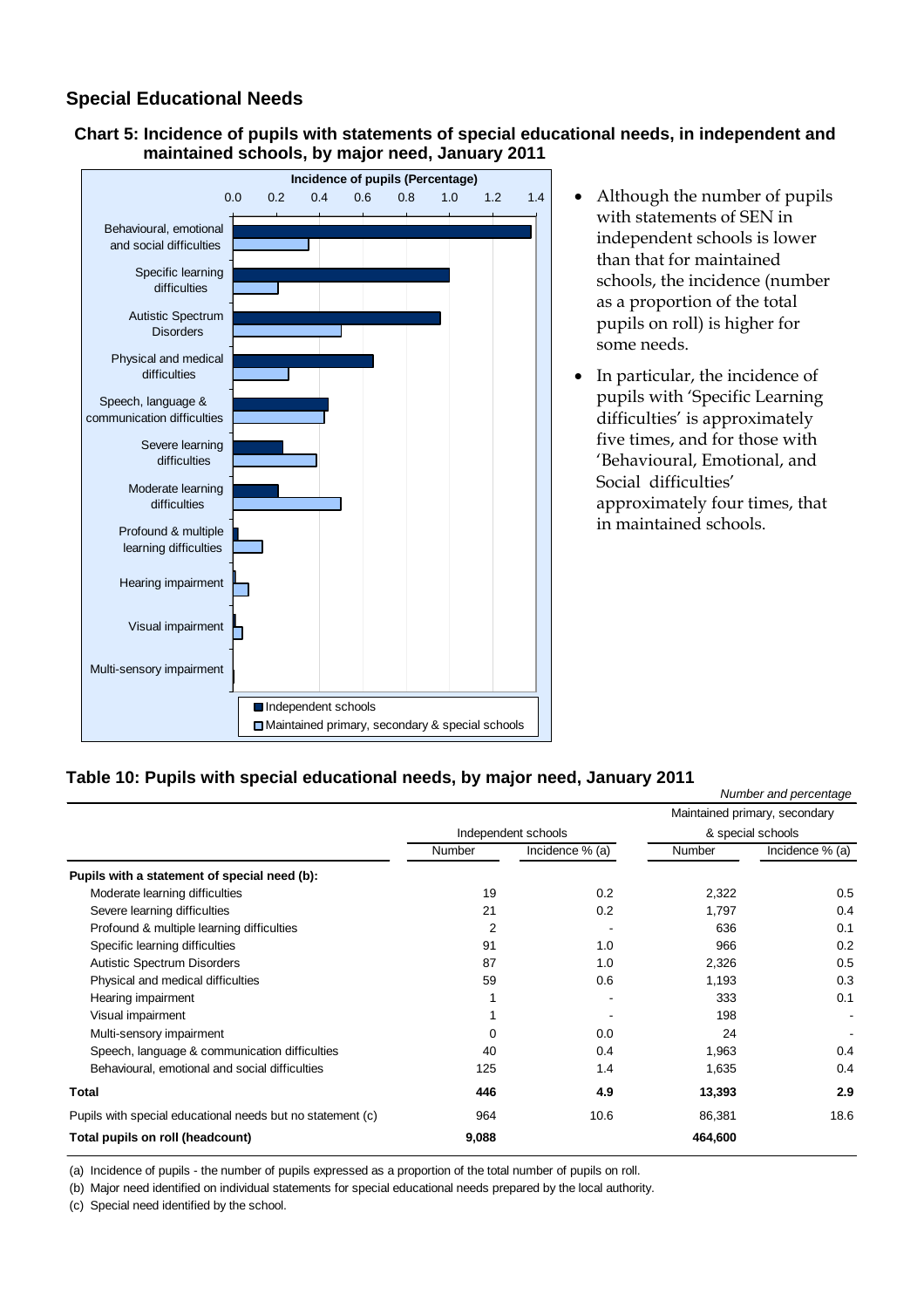# <span id="page-9-0"></span>**Special Educational Needs**





- Although the number of pupils with statements of SEN in independent schools is lower than that for maintained schools, the incidence (number as a proportion of the total pupils on roll) is higher for some needs.
- In particular, the incidence of pupils with 'Specific Learning difficulties' is approximately five times, and for those with 'Behavioural, Emotional, and Social difficulties' approximately four times, that in maintained schools.

### **Table 10: Pupils with special educational needs, by major need, January 2011**

|                                                            |               |                     |               | Number and percentage         |
|------------------------------------------------------------|---------------|---------------------|---------------|-------------------------------|
|                                                            |               |                     |               | Maintained primary, secondary |
|                                                            |               | Independent schools |               | & special schools             |
|                                                            | <b>Number</b> | Incidence % (a)     | <b>Number</b> | Incidence % (a)               |
| Pupils with a statement of special need (b):               |               |                     |               |                               |
| Moderate learning difficulties                             | 19            | 0.2                 | 2,322         | 0.5                           |
| Severe learning difficulties                               | 21            | 0.2                 | 1,797         | 0.4                           |
| Profound & multiple learning difficulties                  | 2             |                     | 636           | 0.1                           |
| Specific learning difficulties                             | 91            | 1.0                 | 966           | 0.2                           |
| <b>Autistic Spectrum Disorders</b>                         | 87            | 1.0                 | 2,326         | 0.5                           |
| Physical and medical difficulties                          | 59            | 0.6                 | 1,193         | 0.3                           |
| Hearing impairment                                         |               |                     | 333           | 0.1                           |
| Visual impairment                                          |               |                     | 198           |                               |
| Multi-sensory impairment                                   | 0             | 0.0                 | 24            |                               |
| Speech, language & communication difficulties              | 40            | 0.4                 | 1,963         | 0.4                           |
| Behavioural, emotional and social difficulties             | 125           | 1.4                 | 1,635         | 0.4                           |
| Total                                                      | 446           | 4.9                 | 13,393        | 2.9                           |
| Pupils with special educational needs but no statement (c) | 964           | 10.6                | 86,381        | 18.6                          |
| Total pupils on roll (headcount)                           | 9,088         |                     | 464,600       |                               |

(a) Incidence of pupils - the number of pupils expressed as a proportion of the total number of pupils on roll.

(b) Major need identified on individual statements for special educational needs prepared by the local authority.

(c) Special need identified by the school.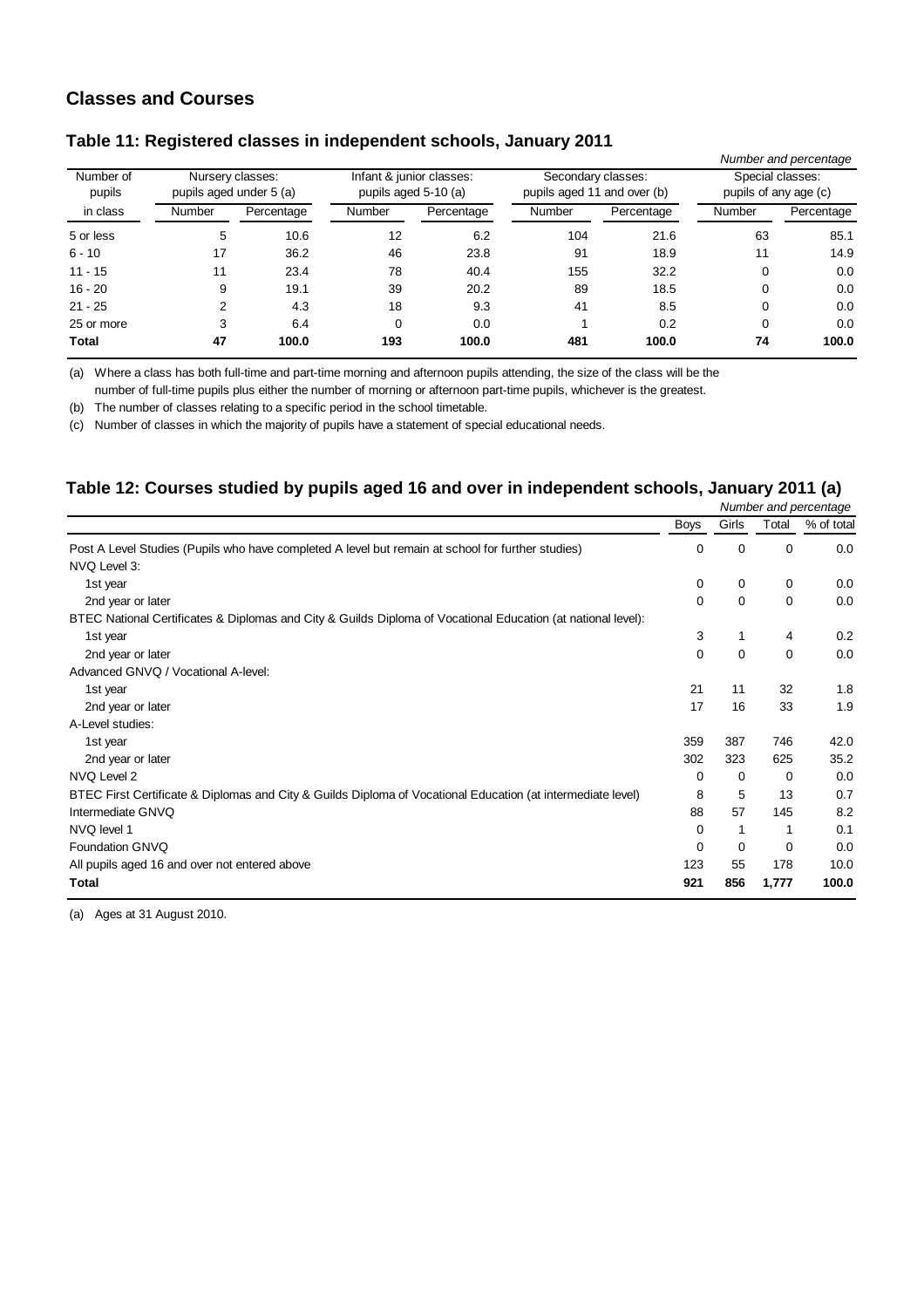## <span id="page-10-0"></span>**Classes and Courses**

|                     |                                             |            |                                                  |            |                                                   |            |                                           | Number and percentage |  |
|---------------------|---------------------------------------------|------------|--------------------------------------------------|------------|---------------------------------------------------|------------|-------------------------------------------|-----------------------|--|
| Number of<br>pupils | Nursery classes:<br>pupils aged under 5 (a) |            | Infant & junior classes:<br>pupils aged 5-10 (a) |            | Secondary classes:<br>pupils aged 11 and over (b) |            | Special classes:<br>pupils of any age (c) |                       |  |
| in class            | Number                                      | Percentage | <b>Number</b>                                    | Percentage | Number                                            | Percentage | Number                                    | Percentage            |  |
| 5 or less           | 5                                           | 10.6       | 12                                               | 6.2        | 104                                               | 21.6       | 63                                        | 85.1                  |  |
| $6 - 10$            | 17                                          | 36.2       | 46                                               | 23.8       | 91                                                | 18.9       | 11                                        | 14.9                  |  |
| $11 - 15$           | 11                                          | 23.4       | 78                                               | 40.4       | 155                                               | 32.2       | 0                                         | 0.0                   |  |
| $16 - 20$           | 9                                           | 19.1       | 39                                               | 20.2       | 89                                                | 18.5       | 0                                         | 0.0                   |  |
| $21 - 25$           | 2                                           | 4.3        | 18                                               | 9.3        | 41                                                | 8.5        | 0                                         | 0.0                   |  |
| 25 or more          | 3                                           | 6.4        | 0                                                | 0.0        |                                                   | 0.2        | 0                                         | 0.0                   |  |
| <b>Total</b>        | 47                                          | 100.0      | 193                                              | 100.0      | 481                                               | 100.0      | 74                                        | 100.0                 |  |

#### **Table 11: Registered classes in independent schools, January 2011**

(a) Where a class has both full-time and part-time morning and afternoon pupils attending, the size of the class will be the number of full-time pupils plus either the number of morning or afternoon part-time pupils, whichever is the greatest.

(b) The number of classes relating to a specific period in the school timetable.

(c) Number of classes in which the majority of pupils have a statement of special educational needs.

### **Table 12: Courses studied by pupils aged 16 and over in independent schools, January 2011 (a)**

|                                                                                                              |             |             |             | Number and percentage |
|--------------------------------------------------------------------------------------------------------------|-------------|-------------|-------------|-----------------------|
|                                                                                                              | <b>Boys</b> | Girls       | Total       | % of total            |
| Post A Level Studies (Pupils who have completed A level but remain at school for further studies)            | 0           | 0           | $\mathbf 0$ | 0.0                   |
| NVQ Level 3:                                                                                                 |             |             |             |                       |
| 1st year                                                                                                     | 0           | 0           | $\mathbf 0$ | 0.0                   |
| 2nd year or later                                                                                            | 0           | $\mathbf 0$ | $\mathbf 0$ | 0.0                   |
| BTEC National Certificates & Diplomas and City & Guilds Diploma of Vocational Education (at national level): |             |             |             |                       |
| 1st year                                                                                                     | 3           | 1           | 4           | 0.2                   |
| 2nd year or later                                                                                            | 0           | 0           | $\mathbf 0$ | 0.0                   |
| Advanced GNVQ / Vocational A-level:                                                                          |             |             |             |                       |
| 1st year                                                                                                     | 21          | 11          | 32          | 1.8                   |
| 2nd year or later                                                                                            | 17          | 16          | 33          | 1.9                   |
| A-Level studies:                                                                                             |             |             |             |                       |
| 1st year                                                                                                     | 359         | 387         | 746         | 42.0                  |
| 2nd year or later                                                                                            | 302         | 323         | 625         | 35.2                  |
| NVQ Level 2                                                                                                  | 0           | $\Omega$    | 0           | 0.0                   |
| BTEC First Certificate & Diplomas and City & Guilds Diploma of Vocational Education (at intermediate level)  | 8           | 5           | 13          | 0.7                   |
| Intermediate GNVQ                                                                                            | 88          | 57          | 145         | 8.2                   |
| NVQ level 1                                                                                                  | 0           |             |             | 0.1                   |
| Foundation GNVQ                                                                                              | 0           | $\Omega$    | $\mathbf 0$ | 0.0                   |
| All pupils aged 16 and over not entered above                                                                | 123         | 55          | 178         | 10.0                  |
| <b>Total</b>                                                                                                 | 921         | 856         | 1,777       | 100.0                 |

(a) Ages at 31 August 2010.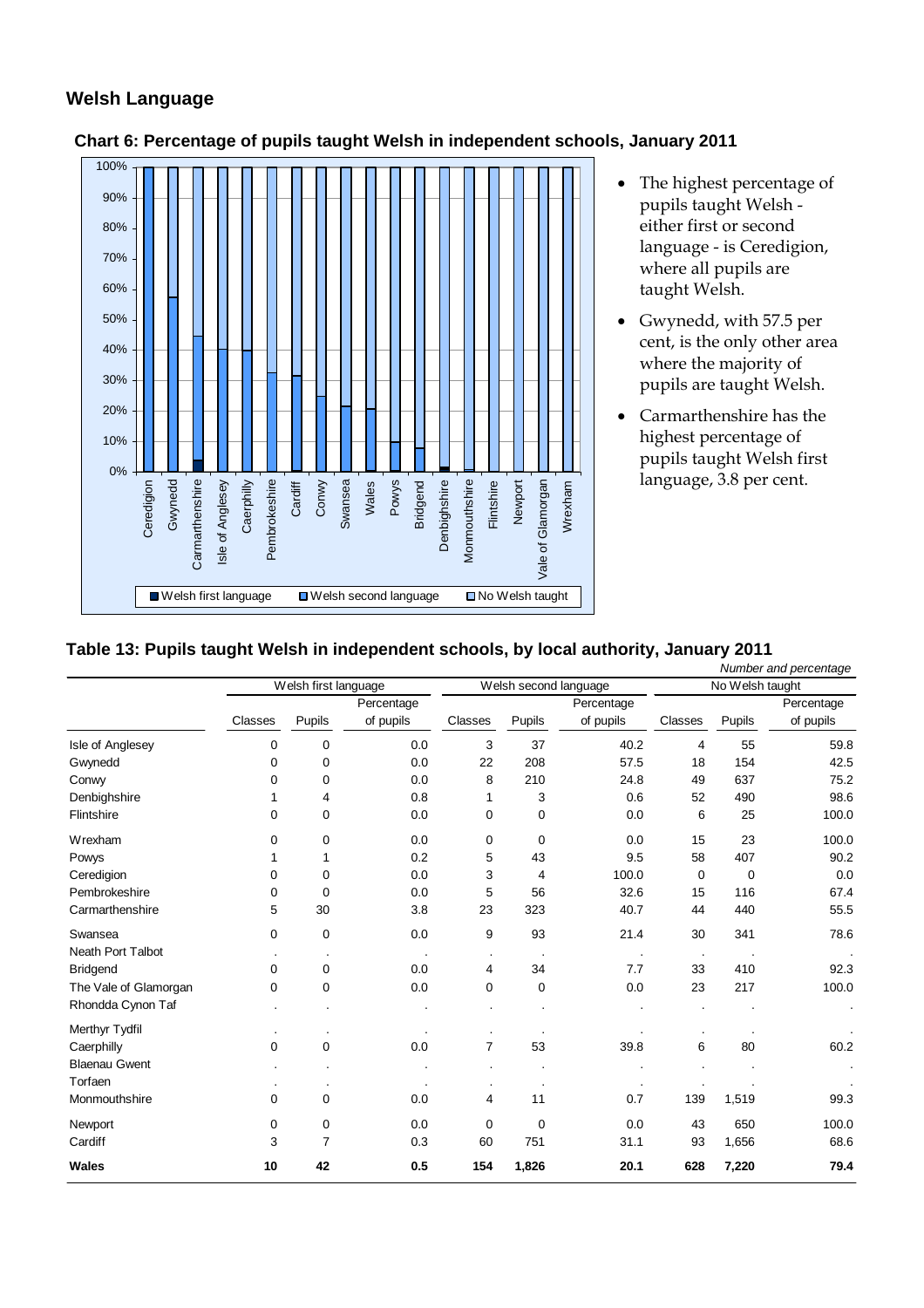# <span id="page-11-0"></span>**Welsh Language**



- **Chart 6: Percentage of pupils taught Welsh in independent schools, January 2011** 
	- The highest percentage of pupils taught Welsh either first or second language - is Ceredigion, where all pupils are taught Welsh.
	- Gwynedd, with 57.5 per cent, is the only other area where the majority of pupils are taught Welsh.
	- Carmarthenshire has the highest percentage of pupils taught Welsh first

### **Table 13: Pupils taught Welsh in independent schools, by local authority, January 2011**

|                       | Number and percentage |                |                             |                |             |                       |                 |        |            |
|-----------------------|-----------------------|----------------|-----------------------------|----------------|-------------|-----------------------|-----------------|--------|------------|
|                       | Welsh first language  |                |                             |                |             | Welsh second language | No Welsh taught |        |            |
|                       |                       |                | Percentage                  |                |             | Percentage            |                 |        | Percentage |
|                       | Classes               | Pupils         | of pupils                   | Classes        | Pupils      | of pupils             | Classes         | Pupils | of pupils  |
| Isle of Anglesey      | 0                     | 0              | 0.0                         | 3              | 37          | 40.2                  | 4               | 55     | 59.8       |
| Gwynedd               | 0                     | $\mathbf 0$    | 0.0                         | 22             | 208         | 57.5                  | 18              | 154    | 42.5       |
| Conwy                 | 0                     | 0              | 0.0                         | 8              | 210         | 24.8                  | 49              | 637    | 75.2       |
| Denbighshire          |                       | 4              | 0.8                         |                | 3           | 0.6                   | 52              | 490    | 98.6       |
| Flintshire            | 0                     | $\mathbf 0$    | 0.0                         | 0              | 0           | 0.0                   | 6               | 25     | 100.0      |
| Wrexham               | 0                     | $\mathbf 0$    | 0.0                         | 0              | $\mathbf 0$ | 0.0                   | 15              | 23     | 100.0      |
| Powys                 | 1                     | 1              | 0.2                         | 5              | 43          | 9.5                   | 58              | 407    | 90.2       |
| Ceredigion            | 0                     | 0              | 0.0                         | 3              | 4           | 100.0                 | 0               | 0      | 0.0        |
| Pembrokeshire         | 0                     | $\mathbf 0$    | 0.0                         | 5              | 56          | 32.6                  | 15              | 116    | 67.4       |
| Carmarthenshire       | 5                     | 30             | 3.8                         | 23             | 323         | 40.7                  | 44              | 440    | 55.5       |
| Swansea               | $\mathbf 0$           | $\mathbf 0$    | 0.0                         | 9              | 93          | 21.4                  | 30              | 341    | 78.6       |
| Neath Port Talbot     |                       | $\cdot$        | $\mathcal{L}_{\mathcal{A}}$ | $\blacksquare$ |             |                       | $\cdot$         |        |            |
| <b>Bridgend</b>       | $\mathbf 0$           | $\mathbf 0$    | 0.0                         | 4              | 34          | 7.7                   | 33              | 410    | 92.3       |
| The Vale of Glamorgan | 0                     | $\mathbf 0$    | 0.0                         | 0              | $\mathbf 0$ | 0.0                   | 23              | 217    | 100.0      |
| Rhondda Cynon Taf     |                       |                |                             |                |             |                       |                 |        | ÷,         |
| Merthyr Tydfil        |                       | $\cdot$        |                             | $\bullet$      |             |                       |                 |        |            |
| Caerphilly            | $\mathbf 0$           | $\mathbf 0$    | 0.0                         | $\overline{7}$ | 53          | 39.8                  | 6               | 80     | 60.2       |
| <b>Blaenau Gwent</b>  |                       |                |                             |                |             |                       |                 |        |            |
| Torfaen               |                       |                |                             |                |             |                       |                 |        |            |
| Monmouthshire         | 0                     | 0              | 0.0                         | 4              | 11          | 0.7                   | 139             | 1,519  | 99.3       |
| Newport               | $\mathbf 0$           | 0              | 0.0                         | 0              | $\mathbf 0$ | 0.0                   | 43              | 650    | 100.0      |
| Cardiff               | 3                     | $\overline{7}$ | 0.3                         | 60             | 751         | 31.1                  | 93              | 1,656  | 68.6       |
| Wales                 | 10                    | 42             | 0.5                         | 154            | 1,826       | 20.1                  | 628             | 7,220  | 79.4       |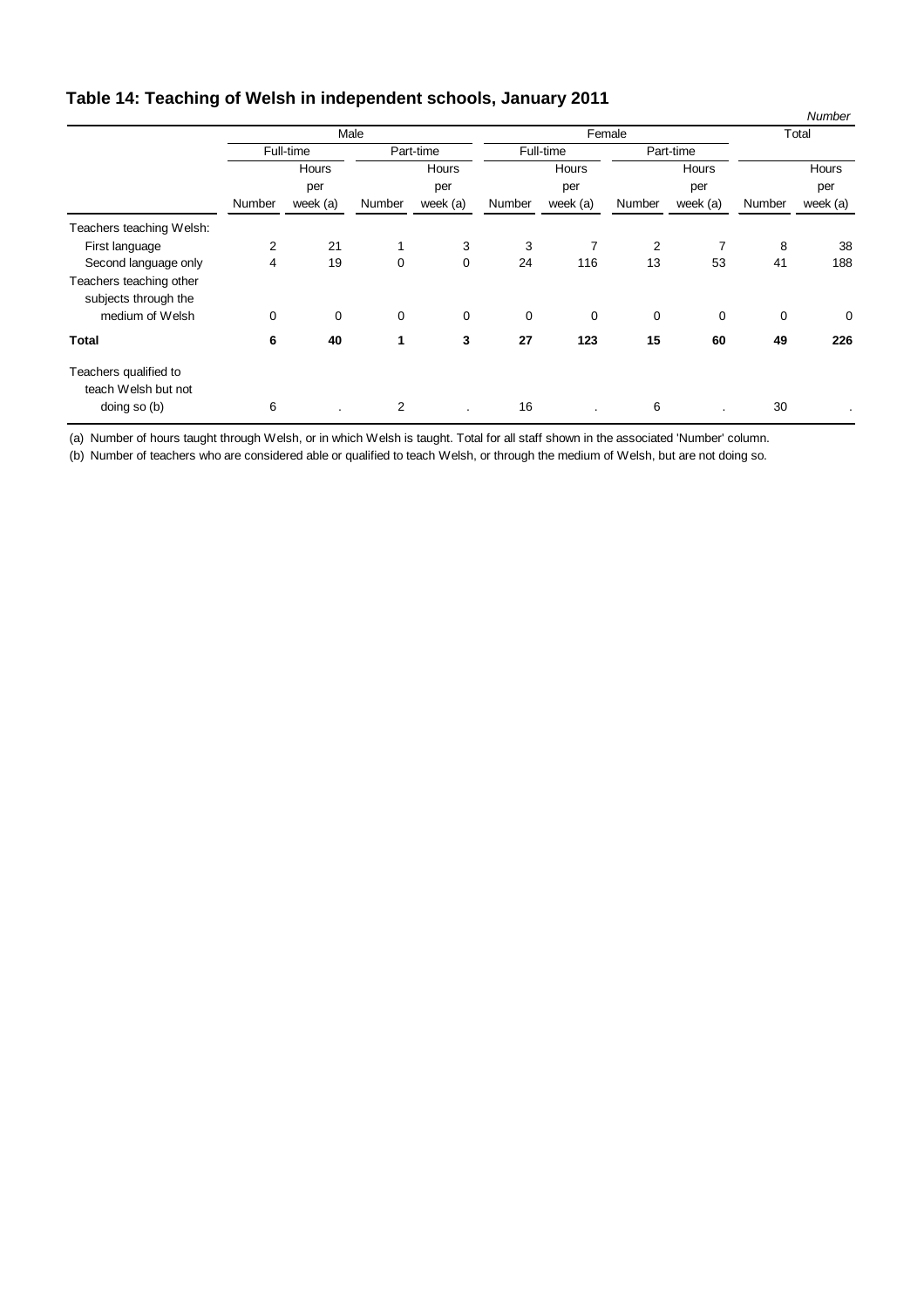# <span id="page-12-0"></span>**Table 14: Teaching of Welsh in independent schools, January 2011**

| ◡                        | ---------    |             |                |             |              |             |              |             |        | Number   |  |
|--------------------------|--------------|-------------|----------------|-------------|--------------|-------------|--------------|-------------|--------|----------|--|
|                          | Male         |             |                |             | Female       |             |              |             | Total  |          |  |
|                          |              | Full-time   | Part-time      |             | Full-time    |             | Part-time    |             |        |          |  |
|                          | Hours<br>per |             | Hours<br>per   |             | Hours<br>per |             | Hours<br>per |             |        | Hours    |  |
|                          |              |             |                |             |              |             |              |             | per    |          |  |
|                          | Number       | week (a)    | Number         | week (a)    | Number       | week (a)    | Number       | week (a)    | Number | week (a) |  |
| Teachers teaching Welsh: |              |             |                |             |              |             |              |             |        |          |  |
| First language           | 2            | 21          | 1              | 3           | 3            | 7           | 2            | 7           | 8      | 38       |  |
| Second language only     | 4            | 19          | $\mathbf 0$    | 0           | 24           | 116         | 13           | 53          | 41     | 188      |  |
| Teachers teaching other  |              |             |                |             |              |             |              |             |        |          |  |
| subjects through the     |              |             |                |             |              |             |              |             |        |          |  |
| medium of Welsh          | $\mathbf 0$  | $\mathbf 0$ | $\mathbf 0$    | $\mathbf 0$ | $\mathbf 0$  | $\mathbf 0$ | $\mathbf 0$  | $\mathbf 0$ | 0      | 0        |  |
| <b>Total</b>             | 6            | 40          | 1              | 3           | 27           | 123         | 15           | 60          | 49     | 226      |  |
| Teachers qualified to    |              |             |                |             |              |             |              |             |        |          |  |
| teach Welsh but not      |              |             |                |             |              |             |              |             |        |          |  |
| doing so (b)             | 6            |             | $\overline{2}$ |             | 16           |             | 6            |             | 30     | $\cdot$  |  |

(a) Number of hours taught through Welsh, or in which Welsh is taught. Total for all staff shown in the associated 'Number' column.

(b) Number of teachers who are considered able or qualified to teach Welsh, or through the medium of Welsh, but are not doing so.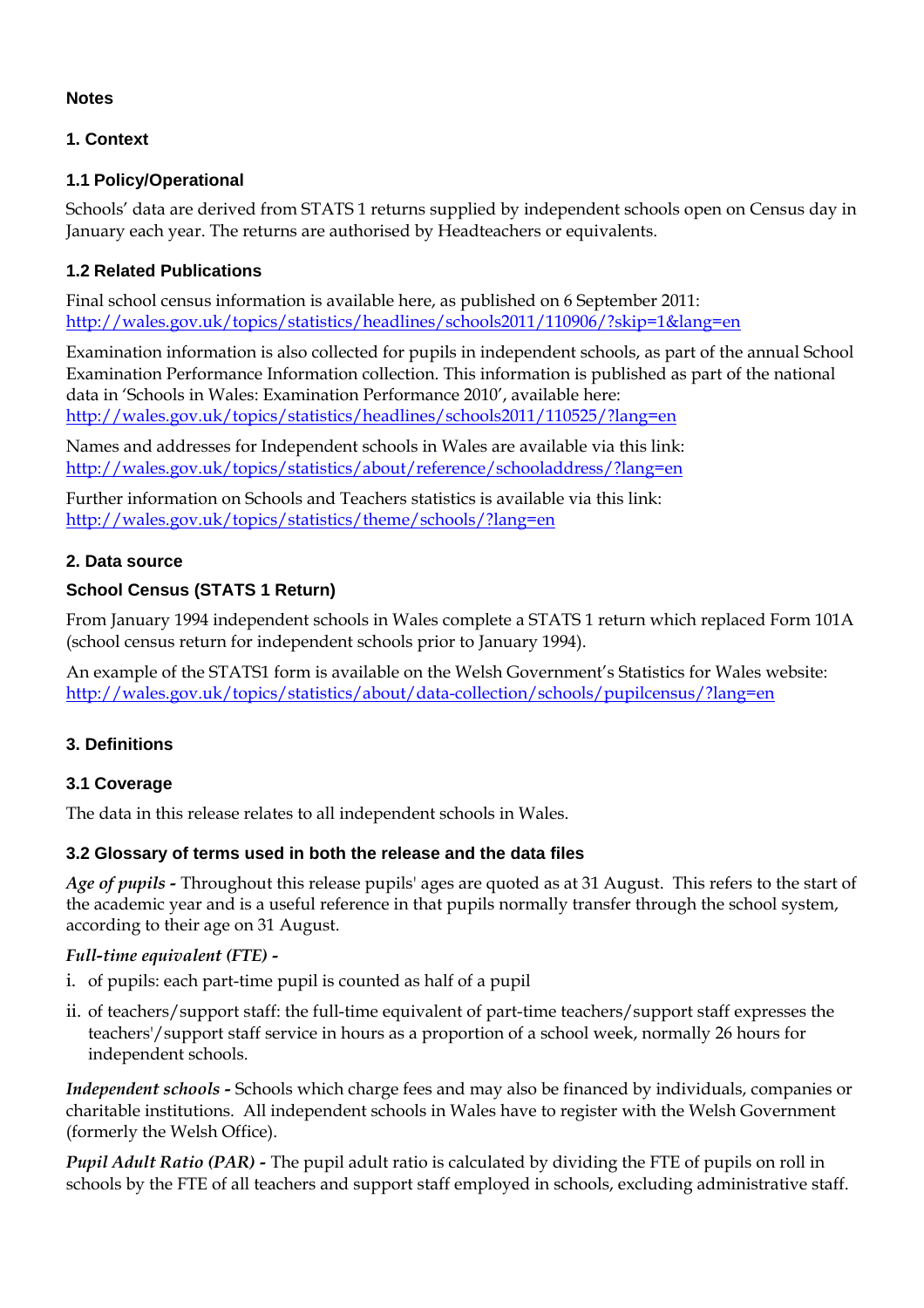## <span id="page-13-0"></span>**Notes**

# **1. Context**

## **1.1 Policy/Operational**

Schools' data are derived from STATS 1 returns supplied by independent schools open on Census day in January each year. The returns are authorised by Headteachers or equivalents.

## **1.2 Related Publications**

Final school census information is available here, as published on 6 September 2011: <http://wales.gov.uk/topics/statistics/headlines/schools2011/110906/?skip=1&lang=en>

Examination information is also collected for pupils in independent schools, as part of the annual School Examination Performance Information collection. This information is published as part of the national data in 'Schools in Wales: Examination Performance 2010', available here: <http://wales.gov.uk/topics/statistics/headlines/schools2011/110525/?lang=en>

Names and addresses for Independent schools in Wales are available via this link: <http://wales.gov.uk/topics/statistics/about/reference/schooladdress/?lang=en>

Further information on Schools and Teachers statistics is available via this link: <http://wales.gov.uk/topics/statistics/theme/schools/?lang=en>

## **2. Data source**

# **School Census (STATS 1 Return)**

From January 1994 independent schools in Wales complete a STATS 1 return which replaced Form 101A (school census return for independent schools prior to January 1994).

An example of the STATS1 form is available on the Welsh Government's Statistics for Wales website: <http://wales.gov.uk/topics/statistics/about/data-collection/schools/pupilcensus/?lang=en>

### **3. Definitions**

### **3.1 Coverage**

The data in this release relates to all independent schools in Wales.

### **3.2 Glossary of terms used in both the release and the data files**

*Age of pupils -* Throughout this release pupils' ages are quoted as at 31 August. This refers to the start of the academic year and is a useful reference in that pupils normally transfer through the school system, according to their age on 31 August.

### *Full-time equivalent (FTE) -*

- i. of pupils: each part-time pupil is counted as half of a pupil
- ii. of teachers/support staff: the full-time equivalent of part-time teachers/support staff expresses the teachers'/support staff service in hours as a proportion of a school week, normally 26 hours for independent schools.

*Independent schools -* Schools which charge fees and may also be financed by individuals, companies or charitable institutions. All independent schools in Wales have to register with the Welsh Government (formerly the Welsh Office).

*Pupil Adult Ratio (PAR) -* The pupil adult ratio is calculated by dividing the FTE of pupils on roll in schools by the FTE of all teachers and support staff employed in schools, excluding administrative staff.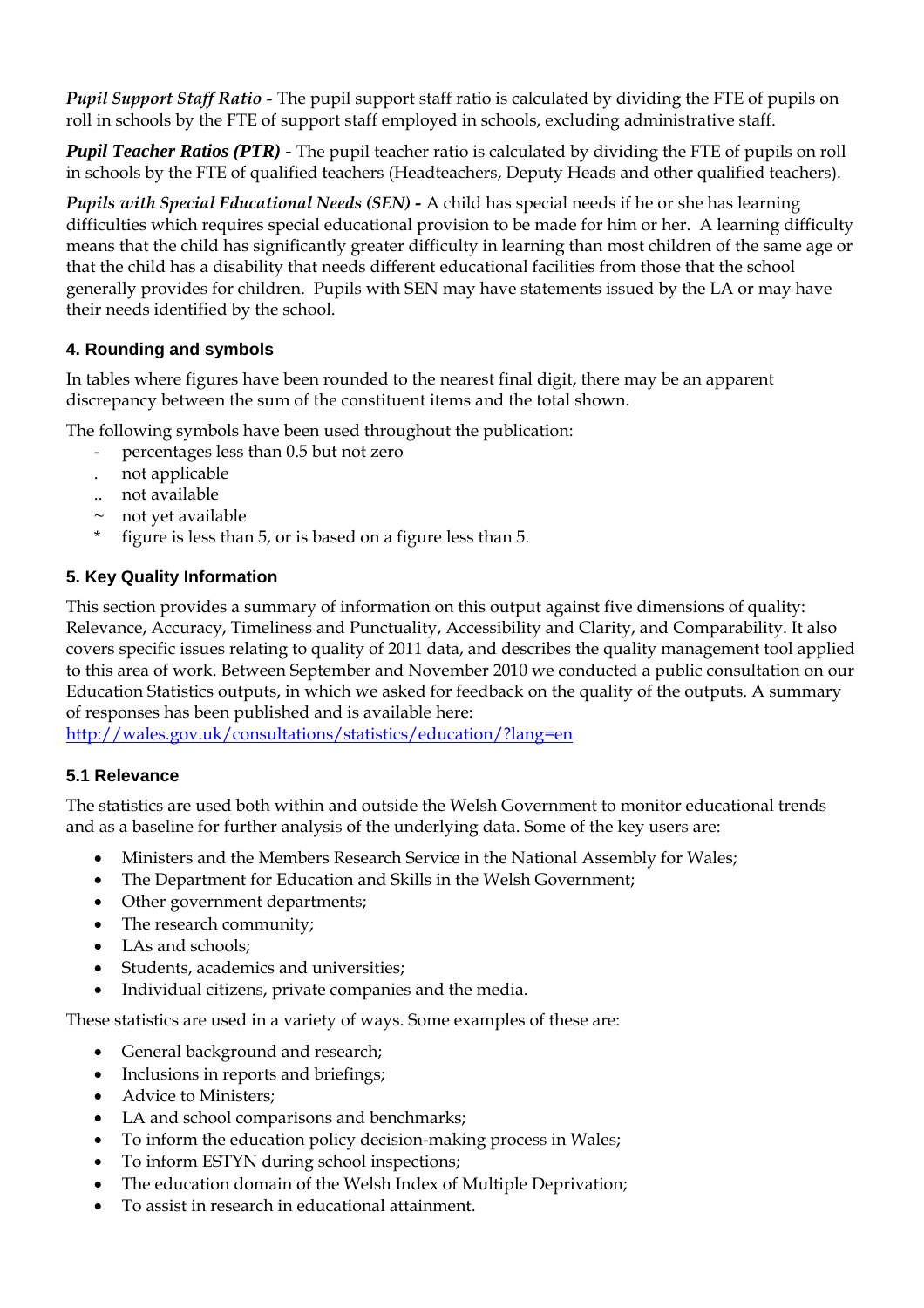<span id="page-14-0"></span>*Pupil Support Staff Ratio -* The pupil support staff ratio is calculated by dividing the FTE of pupils on roll in schools by the FTE of support staff employed in schools, excluding administrative staff.

*Pupil Teacher Ratios (PTR) -* The pupil teacher ratio is calculated by dividing the FTE of pupils on roll in schools by the FTE of qualified teachers (Headteachers, Deputy Heads and other qualified teachers).

*Pupils with Special Educational Needs (SEN) -* A child has special needs if he or she has learning difficulties which requires special educational provision to be made for him or her. A learning difficulty means that the child has significantly greater difficulty in learning than most children of the same age or that the child has a disability that needs different educational facilities from those that the school generally provides for children. Pupils with SEN may have statements issued by the LA or may have their needs identified by the school.

# **4. Rounding and symbols**

In tables where figures have been rounded to the nearest final digit, there may be an apparent discrepancy between the sum of the constituent items and the total shown.

The following symbols have been used throughout the publication:

- percentages less than 0.5 but not zero
- . not applicable
- .. not available
- $\sim$  not yet available
- figure is less than 5, or is based on a figure less than 5.

# **5. Key Quality Information**

This section provides a summary of information on this output against five dimensions of quality: Relevance, Accuracy, Timeliness and Punctuality, Accessibility and Clarity, and Comparability. It also covers specific issues relating to quality of 2011 data, and describes the quality management tool applied to this area of work. Between September and November 2010 we conducted a public consultation on our Education Statistics outputs, in which we asked for feedback on the quality of the outputs. A summary of responses has been published and is available here:

<http://wales.gov.uk/consultations/statistics/education/?lang=en>

# **5.1 Relevance**

The statistics are used both within and outside the Welsh Government to monitor educational trends and as a baseline for further analysis of the underlying data. Some of the key users are:

- Ministers and the Members Research Service in the National Assembly for Wales;
- The Department for Education and Skills in the Welsh Government;
- Other government departments;
- The research community;
- LAs and schools:
- Students, academics and universities;
- Individual citizens, private companies and the media.

These statistics are used in a variety of ways. Some examples of these are:

- General background and research;
- Inclusions in reports and briefings;
- Advice to Ministers;
- LA and school comparisons and benchmarks;
- To inform the education policy decision-making process in Wales;
- To inform ESTYN during school inspections;
- The education domain of the Welsh Index of Multiple Deprivation;
- To assist in research in educational attainment.